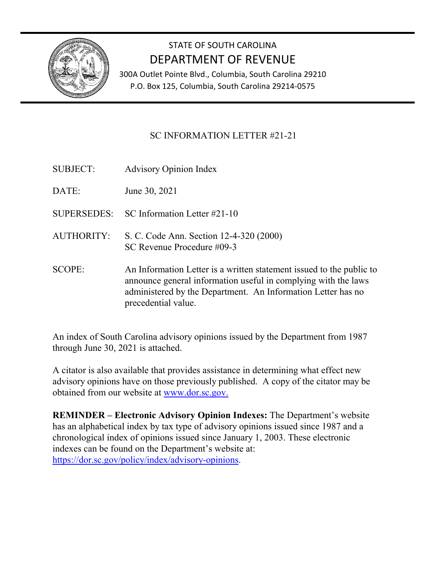

# STATE OF SOUTH CAROLINA DEPARTMENT OF REVENUE

300A Outlet Pointe Blvd., Columbia, South Carolina 29210 P.O. Box 125, Columbia, South Carolina 29214-0575

#### SC INFORMATION LETTER #21-21

- SUBJECT: Advisory Opinion Index
- DATE: June 30, 2021
- SUPERSEDES: SC Information Letter #21-10
- AUTHORITY: S. C. Code Ann. Section 12-4-320 (2000) SC Revenue Procedure #09-3
- SCOPE: An Information Letter is a written statement issued to the public to announce general information useful in complying with the laws administered by the Department. An Information Letter has no precedential value.

An index of South Carolina advisory opinions issued by the Department from 1987 through June 30, 2021 is attached.

A citator is also available that provides assistance in determining what effect new advisory opinions have on those previously published. A copy of the citator may be obtained from our website at www.dor.sc.gov.

**REMINDER – Electronic Advisory Opinion Indexes:** The Department's website has an alphabetical index by tax type of advisory opinions issued since 1987 and a chronological index of opinions issued since January 1, 2003. These electronic indexes can be found on the Department's website at: [https://dor.sc.gov/policy/index/advisory-opinions.](https://dor.sc.gov/policy/index/advisory-opinions)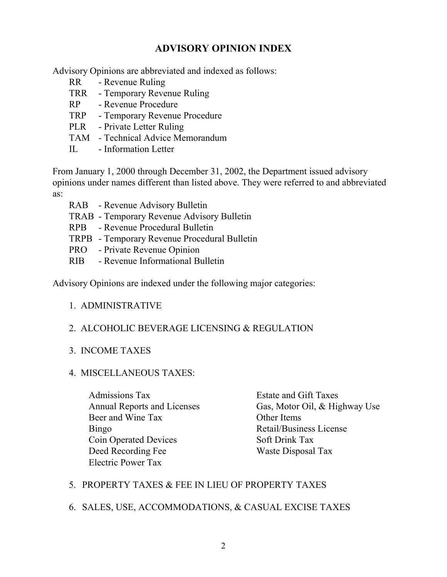#### **ADVISORY OPINION INDEX**

Advisory Opinions are abbreviated and indexed as follows:

- RR Revenue Ruling
- TRR Temporary Revenue Ruling
- RP Revenue Procedure
- TRP Temporary Revenue Procedure
- PLR Private Letter Ruling
- TAM Technical Advice Memorandum
- IL Information Letter

From January 1, 2000 through December 31, 2002, the Department issued advisory opinions under names different than listed above. They were referred to and abbreviated as:

- RAB Revenue Advisory Bulletin
- TRAB Temporary Revenue Advisory Bulletin
- RPB Revenue Procedural Bulletin
- TRPB Temporary Revenue Procedural Bulletin
- PRO Private Revenue Opinion
- RIB Revenue Informational Bulletin

Advisory Opinions are indexed under the following major categories:

#### 1. ADMINISTRATIVE

#### 2. ALCOHOLIC BEVERAGE LICENSING & REGULATION

#### 3. INCOME TAXES

#### 4. MISCELLANEOUS TAXES:

Admissions Tax Estate and Gift Taxes Beer and Wine Tax Other Items Bingo Retail/Business License Coin Operated Devices Soft Drink Tax Deed Recording Fee Waste Disposal Tax Electric Power Tax

Annual Reports and Licenses Gas, Motor Oil, & Highway Use

#### 5. PROPERTY TAXES & FEE IN LIEU OF PROPERTY TAXES

#### 6. SALES, USE, ACCOMMODATIONS, & CASUAL EXCISE TAXES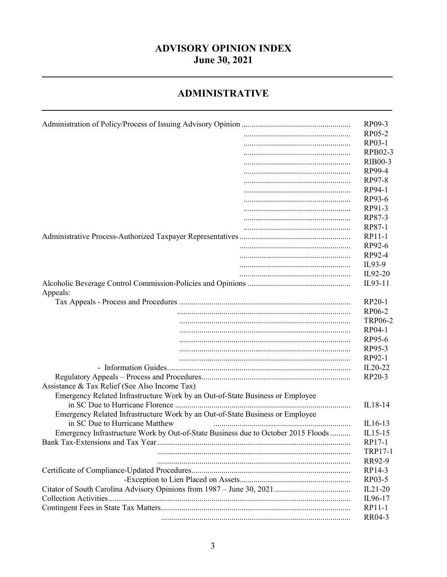## **ADVISORY OPINION INDEX June 30, 2021**

#### **ADMINISTRATIVE**

|                                                                                   | RP09-3         |
|-----------------------------------------------------------------------------------|----------------|
|                                                                                   | RP05-2         |
|                                                                                   | RP03-1         |
|                                                                                   | RPB02-3        |
|                                                                                   | <b>RIB00-3</b> |
|                                                                                   | RP99-4         |
|                                                                                   | RP97-8         |
|                                                                                   |                |
|                                                                                   | RP94-1         |
|                                                                                   | RP93-6         |
|                                                                                   | RP91-3         |
|                                                                                   | RP87-3         |
|                                                                                   | RP87-1         |
|                                                                                   | RP11-1         |
|                                                                                   | RP92-6         |
|                                                                                   | RP92-4         |
|                                                                                   | IL93-9         |
|                                                                                   | IL92-20        |
|                                                                                   | IL93-11        |
| Appeals:                                                                          |                |
|                                                                                   | RP20-1         |
|                                                                                   | RP06-2         |
|                                                                                   | <b>TRP06-2</b> |
|                                                                                   | RP04-1         |
|                                                                                   |                |
|                                                                                   | RP95-6         |
|                                                                                   | RP95-3         |
|                                                                                   | RP92-1         |
|                                                                                   | IL20-22        |
|                                                                                   | RP20-3         |
| Assistance & Tax Relief (See Also Income Tax)                                     |                |
| Emergency Related Infrastructure Work by an Out-of-State Business or Employee     |                |
|                                                                                   | IL18-14        |
| Emergency Related Infrastructure Work by an Out-of-State Business or Employee     |                |
| in SC Due to Hurricane Matthew                                                    | $IL16-13$      |
| Emergency Infrastructure Work by Out-of-State Business due to October 2015 Floods | $IL15-15$      |
| Bank Tax-Extensions and Tax Year.                                                 | RP17-1         |
|                                                                                   | <b>TRP17-1</b> |
|                                                                                   | RR92-9         |
|                                                                                   | RP14-3         |
|                                                                                   | RP03-5         |
|                                                                                   |                |
|                                                                                   | $IL21-20$      |
|                                                                                   | IL96-17        |
|                                                                                   | RP11-1         |
|                                                                                   | RR04-3         |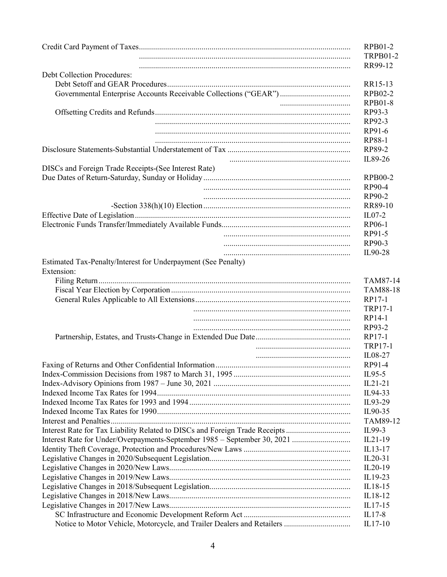|                                                                             | RPB01-2         |
|-----------------------------------------------------------------------------|-----------------|
|                                                                             | <b>TRPB01-2</b> |
|                                                                             | RR99-12         |
| <b>Debt Collection Procedures:</b>                                          |                 |
|                                                                             | RR15-13         |
| Governmental Enterprise Accounts Receivable Collections ("GEAR")            | RPB02-2         |
|                                                                             | <b>RPB01-8</b>  |
|                                                                             | RP93-3          |
|                                                                             | RP92-3          |
|                                                                             | RP91-6          |
|                                                                             | RP88-1          |
|                                                                             | RP89-2          |
|                                                                             | IL89-26         |
| DISCs and Foreign Trade Receipts-(See Interest Rate)                        |                 |
|                                                                             | <b>RPB00-2</b>  |
|                                                                             | RP90-4          |
|                                                                             | RP90-2          |
|                                                                             | RR89-10         |
|                                                                             | $ILO7-2$        |
|                                                                             | RP06-1          |
|                                                                             | RP91-5          |
|                                                                             | RP90-3          |
|                                                                             | IL90-28         |
| Estimated Tax-Penalty/Interest for Underpayment (See Penalty)               |                 |
| Extension:                                                                  |                 |
|                                                                             | TAM87-14        |
|                                                                             | <b>TAM88-18</b> |
|                                                                             | RP17-1          |
|                                                                             | <b>TRP17-1</b>  |
|                                                                             | RP14-1          |
|                                                                             | RP93-2          |
|                                                                             | RP17-1          |
|                                                                             | <b>TRP17-1</b>  |
|                                                                             | IL08-27         |
| Faxing of Returns and Other Confidential Information                        | RP91-4          |
|                                                                             | $IL95-5$        |
|                                                                             | $IL21-21$       |
|                                                                             | IL94-33         |
|                                                                             | IL93-29         |
|                                                                             | IL90-35         |
|                                                                             | TAM89-12        |
| Interest Rate for Tax Liability Related to DISCs and Foreign Trade Receipts | IL99-3          |
|                                                                             | $IL21-19$       |
|                                                                             | IL13-17         |
|                                                                             | $IL20-31$       |
|                                                                             | IL20-19         |
|                                                                             | IL19-23         |
|                                                                             | IL18-15         |
|                                                                             | IL18-12         |
|                                                                             | $IL17-15$       |
|                                                                             | $IL17-8$        |
|                                                                             | IL17-10         |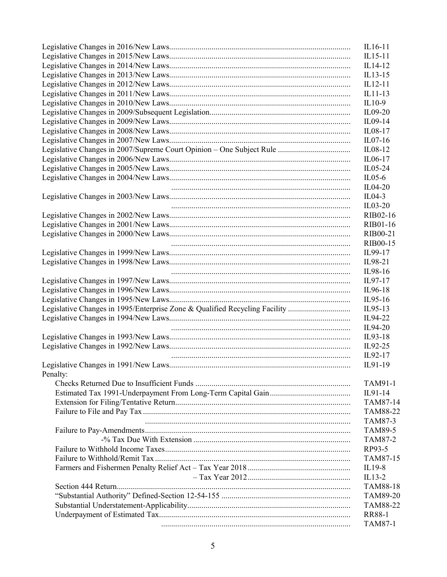|                                                                            | IL16-11         |
|----------------------------------------------------------------------------|-----------------|
|                                                                            | $IL15-11$       |
|                                                                            | IL14-12         |
|                                                                            | $IL13-15$       |
|                                                                            | IL12-11         |
|                                                                            | $IL11-13$       |
|                                                                            | $IL10-9$        |
|                                                                            | IL09-20         |
|                                                                            | IL09-14         |
|                                                                            | IL08-17         |
|                                                                            | $IL07-16$       |
|                                                                            | IL08-12         |
|                                                                            | IL06-17         |
|                                                                            | IL05-24         |
|                                                                            | $IL05-6$        |
|                                                                            | IL04-20         |
|                                                                            | $IL04-3$        |
|                                                                            | $IL03-20$       |
|                                                                            | RIB02-16        |
|                                                                            | <b>RIB01-16</b> |
|                                                                            | RIB00-21        |
|                                                                            |                 |
|                                                                            | <b>RIB00-15</b> |
|                                                                            | IL99-17         |
|                                                                            | IL98-21         |
|                                                                            | IL98-16         |
|                                                                            | IL97-17         |
|                                                                            | IL96-18         |
|                                                                            | IL95-16         |
| Legislative Changes in 1995/Enterprise Zone & Qualified Recycling Facility | IL95-13         |
|                                                                            | IL94-22         |
|                                                                            | IL94-20         |
|                                                                            | IL93-18         |
|                                                                            | IL92-25         |
|                                                                            | IL92-17         |
|                                                                            | IL91-19         |
| Penalty:                                                                   |                 |
|                                                                            | TAM91-1         |
|                                                                            | IL91-14         |
|                                                                            | TAM87-14        |
|                                                                            | TAM88-22        |
|                                                                            | TAM87-3         |
|                                                                            | <b>TAM89-5</b>  |
|                                                                            | <b>TAM87-2</b>  |
|                                                                            | RP93-5          |
|                                                                            | TAM87-15        |
|                                                                            | IL19-8          |
|                                                                            | $IL13-2$        |
|                                                                            | TAM88-18        |
|                                                                            | TAM89-20        |
|                                                                            | <b>TAM88-22</b> |
|                                                                            | <b>RR88-1</b>   |
|                                                                            | <b>TAM87-1</b>  |
|                                                                            |                 |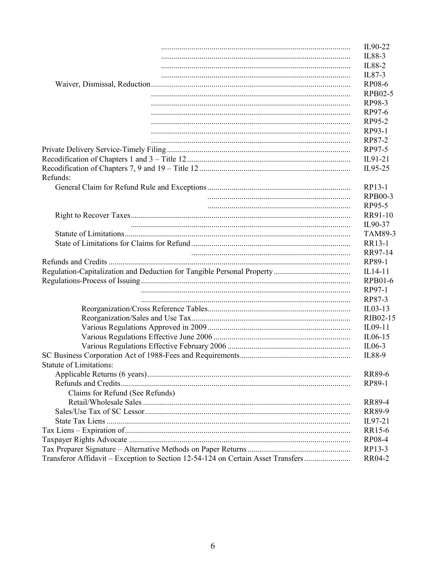|                                                                                  | IL90-22        |
|----------------------------------------------------------------------------------|----------------|
|                                                                                  | IL88-3         |
|                                                                                  | IL88-2         |
|                                                                                  | IL87-3         |
|                                                                                  | RP08-6         |
|                                                                                  | RPB02-5        |
|                                                                                  | RP98-3         |
|                                                                                  | RP97-6         |
|                                                                                  | RP95-2         |
|                                                                                  | RP93-1         |
|                                                                                  | RP87-2         |
|                                                                                  | RP97-5         |
|                                                                                  | IL91-21        |
|                                                                                  | IL95-25        |
| Refunds:                                                                         |                |
|                                                                                  | RP13-1         |
|                                                                                  | <b>RPB00-3</b> |
|                                                                                  | RP95-5         |
|                                                                                  | RR91-10        |
|                                                                                  | IL90-37        |
|                                                                                  | <b>TAM89-3</b> |
|                                                                                  | RR13-1         |
|                                                                                  | RR97-14        |
|                                                                                  | RP89-1         |
|                                                                                  | IL14-11        |
|                                                                                  | <b>RPB01-6</b> |
|                                                                                  | RP97-1         |
|                                                                                  | RP87-3         |
|                                                                                  | $IL03-13$      |
|                                                                                  | RIB02-15       |
|                                                                                  | IL09-11        |
|                                                                                  | IL06-15        |
|                                                                                  | $IL06-3$       |
|                                                                                  | IL88-9         |
| <b>Statute of Limitations:</b>                                                   |                |
|                                                                                  | RR89-6         |
|                                                                                  | RP89-1         |
| Claims for Refund (See Refunds)                                                  |                |
|                                                                                  | <b>RR89-4</b>  |
|                                                                                  | <b>RR89-9</b>  |
|                                                                                  | IL97-21        |
|                                                                                  | RR15-6         |
|                                                                                  | RP08-4         |
|                                                                                  | RP13-3         |
| Transferor Affidavit - Exception to Section 12-54-124 on Certain Asset Transfers | RR04-2         |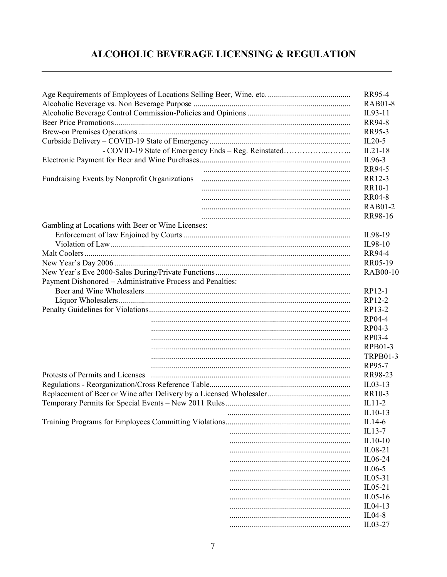## ALCOHOLIC BEVERAGE LICENSING & REGULATION

|                                                            |                                                      | RR95-4          |
|------------------------------------------------------------|------------------------------------------------------|-----------------|
|                                                            |                                                      | <b>RAB01-8</b>  |
|                                                            |                                                      | IL93-11         |
|                                                            |                                                      | RR94-8          |
|                                                            |                                                      | RR95-3          |
|                                                            |                                                      | $IL20-5$        |
|                                                            | - COVID-19 State of Emergency Ends - Reg. Reinstated | $IL21-18$       |
|                                                            |                                                      | IL96-3          |
|                                                            |                                                      | RR94-5          |
| Fundraising Events by Nonprofit Organizations              |                                                      | RR12-3          |
|                                                            |                                                      | RR10-1          |
|                                                            |                                                      | <b>RR04-8</b>   |
|                                                            |                                                      | <b>RAB01-2</b>  |
|                                                            |                                                      | RR98-16         |
| Gambling at Locations with Beer or Wine Licenses:          |                                                      |                 |
|                                                            |                                                      | IL98-19         |
|                                                            |                                                      | IL98-10         |
|                                                            |                                                      | RR94-4          |
|                                                            |                                                      | RR05-19         |
|                                                            |                                                      | <b>RAB00-10</b> |
| Payment Dishonored - Administrative Process and Penalties: |                                                      |                 |
|                                                            |                                                      | RP12-1          |
|                                                            |                                                      | RP12-2          |
|                                                            |                                                      | RP13-2          |
|                                                            |                                                      | RP04-4          |
|                                                            |                                                      | RP04-3          |
|                                                            |                                                      | RP03-4          |
|                                                            |                                                      | RPB01-3         |
|                                                            |                                                      | <b>TRPB01-3</b> |
|                                                            |                                                      | RP95-7          |
| Protests of Permits and Licenses                           |                                                      | RR98-23         |
|                                                            |                                                      | $IL03-13$       |
|                                                            |                                                      | RR10-3          |
|                                                            |                                                      | $IL11-2$        |
|                                                            |                                                      | $IL10-13$       |
|                                                            |                                                      | IL14-6          |
|                                                            |                                                      | IL13-7          |
|                                                            |                                                      | $IL10-10$       |
|                                                            |                                                      | IL08-21         |
|                                                            |                                                      | IL06-24         |
|                                                            |                                                      |                 |
|                                                            |                                                      | $IL06-5$        |
|                                                            |                                                      | $IL05-31$       |
|                                                            |                                                      | $IL05-21$       |
|                                                            |                                                      | $IL05-16$       |
|                                                            |                                                      | $IL04-13$       |
|                                                            |                                                      | $IL04-8$        |
|                                                            |                                                      | IL03-27         |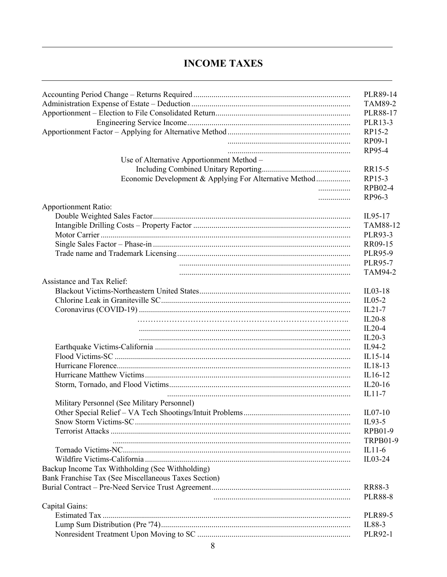#### **INCOME TAXES**

|                                                        | PLR89-14        |
|--------------------------------------------------------|-----------------|
|                                                        | <b>TAM89-2</b>  |
|                                                        | PLR88-17        |
|                                                        | PLR13-3         |
|                                                        | RP15-2          |
|                                                        | RP09-1          |
|                                                        | RP95-4          |
| Use of Alternative Apportionment Method -              |                 |
|                                                        | RR15-5          |
| Economic Development & Applying For Alternative Method | RP15-3          |
|                                                        | RPB02-4         |
| .                                                      | RP96-3          |
| <b>Apportionment Ratio:</b>                            |                 |
|                                                        | IL95-17         |
|                                                        | TAM88-12        |
|                                                        | PLR93-3         |
|                                                        | RR09-15         |
|                                                        | <b>PLR95-9</b>  |
|                                                        | <b>PLR95-7</b>  |
|                                                        | <b>TAM94-2</b>  |
| Assistance and Tax Relief:                             |                 |
|                                                        | $IL03-18$       |
|                                                        | $IL05-2$        |
|                                                        | $IL21-7$        |
|                                                        | $IL20-8$        |
|                                                        | $IL20-4$        |
|                                                        | $IL20-3$        |
|                                                        | IL94-2          |
|                                                        | IL15-14         |
|                                                        | IL18-13         |
|                                                        | IL16-12         |
|                                                        | $IL20-16$       |
|                                                        | IL11-7          |
| Military Personnel (See Military Personnel)            |                 |
|                                                        | $IL07-10$       |
|                                                        | IL93-5          |
|                                                        | RPB01-9         |
|                                                        | <b>TRPB01-9</b> |
|                                                        | $IL11-6$        |
|                                                        | $IL03-24$       |
| Backup Income Tax Withholding (See Withholding)        |                 |
| Bank Franchise Tax (See Miscellaneous Taxes Section)   |                 |
|                                                        | <b>RR88-3</b>   |
|                                                        | <b>PLR88-8</b>  |
| Capital Gains:                                         |                 |
|                                                        | <b>PLR89-5</b>  |
|                                                        | IL88-3          |
|                                                        | <b>PLR92-1</b>  |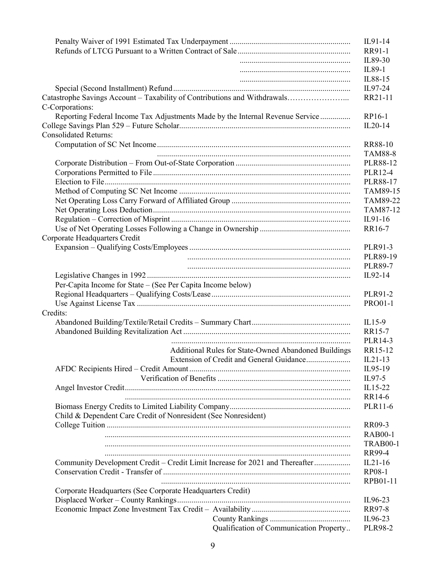|                                                                               | IL91-14                                                   |
|-------------------------------------------------------------------------------|-----------------------------------------------------------|
|                                                                               | RR91-1                                                    |
|                                                                               | IL89-30                                                   |
|                                                                               | IL89-1                                                    |
|                                                                               | IL88-15                                                   |
|                                                                               | IL97-24                                                   |
| Catastrophe Savings Account - Taxability of Contributions and Withdrawals     | RR21-11                                                   |
| C-Corporations:                                                               |                                                           |
| Reporting Federal Income Tax Adjustments Made by the Internal Revenue Service | RP16-1                                                    |
|                                                                               | $IL20-14$                                                 |
| <b>Consolidated Returns:</b>                                                  |                                                           |
|                                                                               | RR88-10                                                   |
|                                                                               | <b>TAM88-8</b>                                            |
|                                                                               | PLR88-12                                                  |
|                                                                               | PLR12-4                                                   |
|                                                                               | PLR88-17                                                  |
|                                                                               | TAM89-15                                                  |
|                                                                               | TAM89-22                                                  |
|                                                                               | TAM87-12                                                  |
|                                                                               | IL91-16                                                   |
|                                                                               | RR16-7                                                    |
| Corporate Headquarters Credit                                                 |                                                           |
|                                                                               | PLR91-3                                                   |
|                                                                               | PLR89-19                                                  |
|                                                                               | <b>PLR89-7</b>                                            |
|                                                                               | IL92-14                                                   |
| Per-Capita Income for State - (See Per Capita Income below)                   |                                                           |
|                                                                               | PLR91-2                                                   |
|                                                                               | <b>PRO01-1</b>                                            |
| Credits:                                                                      | $IL15-9$                                                  |
|                                                                               | RR15-7                                                    |
|                                                                               | PLR14-3                                                   |
| Additional Rules for State-Owned Abandoned Buildings                          | RR15-12                                                   |
| Extension of Credit and General Guidance                                      | $IL21-13$                                                 |
|                                                                               | IL95-19                                                   |
|                                                                               | IL97-5                                                    |
|                                                                               | IL15-22                                                   |
|                                                                               | RR14-6                                                    |
|                                                                               | PLR11-6                                                   |
| Child & Dependent Care Credit of Nonresident (See Nonresident)                |                                                           |
|                                                                               | RR09-3                                                    |
|                                                                               | <b>RAB00-1</b>                                            |
|                                                                               | <b>TRAB00-1</b>                                           |
|                                                                               | RR99-4                                                    |
| Community Development Credit - Credit Limit Increase for 2021 and Thereafter  | $IL21-16$                                                 |
|                                                                               | RP08-1                                                    |
|                                                                               | RPB01-11                                                  |
| Corporate Headquarters (See Corporate Headquarters Credit)                    |                                                           |
|                                                                               | IL96-23                                                   |
|                                                                               | RR97-8                                                    |
|                                                                               | IL96-23                                                   |
|                                                                               | Qualification of Communication Property<br><b>PLR98-2</b> |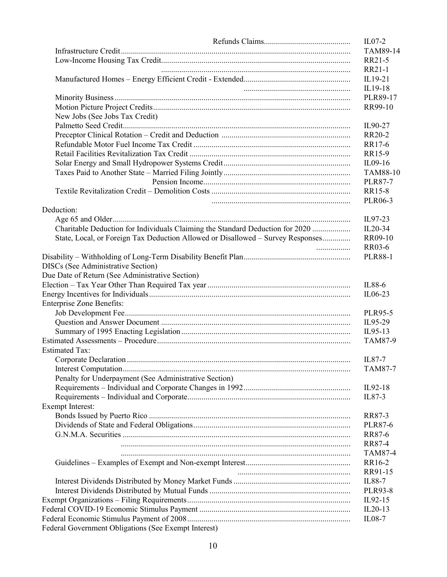| New Jobs (See Jobs Tax Credit)                                                  |   |
|---------------------------------------------------------------------------------|---|
|                                                                                 |   |
|                                                                                 |   |
|                                                                                 |   |
|                                                                                 |   |
|                                                                                 |   |
|                                                                                 |   |
|                                                                                 |   |
|                                                                                 |   |
|                                                                                 |   |
| Deduction:                                                                      |   |
|                                                                                 |   |
| Charitable Deduction for Individuals Claiming the Standard Deduction for 2020   |   |
| State, Local, or Foreign Tax Deduction Allowed or Disallowed - Survey Responses |   |
|                                                                                 | . |
|                                                                                 |   |
| <b>DISCs (See Administrative Section)</b>                                       |   |
| Due Date of Return (See Administrative Section)                                 |   |
|                                                                                 |   |
|                                                                                 |   |
| <b>Enterprise Zone Benefits:</b>                                                |   |
|                                                                                 |   |
|                                                                                 |   |
|                                                                                 |   |
|                                                                                 |   |
| <b>Estimated Tax:</b>                                                           |   |
|                                                                                 |   |
|                                                                                 |   |
| Penalty for Underpayment (See Administrative Section)                           |   |
|                                                                                 |   |
|                                                                                 |   |
| <b>Exempt Interest:</b>                                                         |   |
|                                                                                 |   |
|                                                                                 |   |
|                                                                                 |   |
|                                                                                 |   |
|                                                                                 |   |
|                                                                                 |   |
|                                                                                 |   |
|                                                                                 |   |
|                                                                                 |   |
|                                                                                 |   |
|                                                                                 |   |
|                                                                                 |   |
|                                                                                 |   |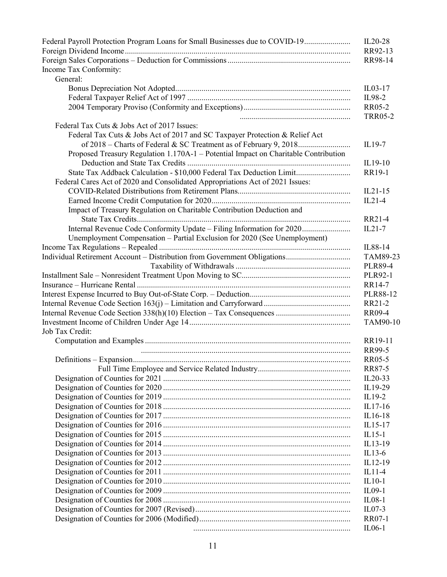| Federal Payroll Protection Program Loans for Small Businesses due to COVID-19       | IL20-28                         |
|-------------------------------------------------------------------------------------|---------------------------------|
|                                                                                     | RR92-13                         |
|                                                                                     | RR98-14                         |
| Income Tax Conformity:                                                              |                                 |
| General:                                                                            |                                 |
|                                                                                     | $IL03-17$                       |
|                                                                                     | IL98-2                          |
|                                                                                     | <b>RR05-2</b><br><b>TRR05-2</b> |
| Federal Tax Cuts & Jobs Act of 2017 Issues:                                         |                                 |
| Federal Tax Cuts & Jobs Act of 2017 and SC Taxpayer Protection & Relief Act         |                                 |
| of 2018 – Charts of Federal & SC Treatment as of February 9, 2018                   | IL19-7                          |
| Proposed Treasury Regulation 1.170A-1 - Potential Impact on Charitable Contribution |                                 |
|                                                                                     | IL19-10                         |
| State Tax Addback Calculation - \$10,000 Federal Tax Deduction Limit                | RR19-1                          |
| Federal Cares Act of 2020 and Consolidated Appropriations Act of 2021 Issues:       |                                 |
|                                                                                     | $IL21-15$                       |
|                                                                                     | $IL21-4$                        |
| Impact of Treasury Regulation on Charitable Contribution Deduction and              |                                 |
|                                                                                     | RR21-4                          |
| Internal Revenue Code Conformity Update - Filing Information for 2020               | $IL21-7$                        |
| Unemployment Compensation - Partial Exclusion for 2020 (See Unemployment)           |                                 |
|                                                                                     | IL88-14                         |
|                                                                                     | TAM89-23                        |
|                                                                                     | <b>PLR89-4</b>                  |
|                                                                                     | PLR92-1                         |
|                                                                                     | RR14-7                          |
|                                                                                     | PLR88-12                        |
|                                                                                     | RR21-2                          |
|                                                                                     | <b>RR09-4</b>                   |
|                                                                                     | TAM90-10                        |
| Job Tax Credit:                                                                     |                                 |
|                                                                                     | RR19-11                         |
|                                                                                     | RR99-5                          |
|                                                                                     | RR05-5                          |
|                                                                                     | RR87-5                          |
|                                                                                     | $IL20-33$                       |
|                                                                                     | IL19-29                         |
|                                                                                     | $IL19-2$                        |
|                                                                                     | $IL17-16$                       |
|                                                                                     | IL16-18                         |
|                                                                                     | $IL15-17$                       |
|                                                                                     | $IL15-1$                        |
|                                                                                     | IL13-19                         |
|                                                                                     | $IL13-6$                        |
|                                                                                     | IL12-19                         |
|                                                                                     | $IL11-4$                        |
|                                                                                     |                                 |
|                                                                                     | $IL10-1$                        |
|                                                                                     | $IL09-1$                        |
|                                                                                     | $IL08-1$                        |
|                                                                                     | $ILO7-3$                        |
|                                                                                     | <b>RR07-1</b><br>$IL06-1$       |
|                                                                                     |                                 |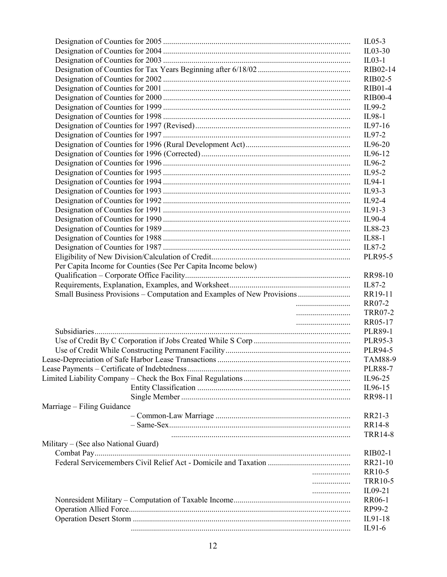|                                                                        | $IL05-3$       |
|------------------------------------------------------------------------|----------------|
|                                                                        | $IL03-30$      |
|                                                                        | $IL03-1$       |
|                                                                        | RIB02-14       |
|                                                                        | RIB02-5        |
|                                                                        | <b>RIB01-4</b> |
|                                                                        | <b>RIB00-4</b> |
|                                                                        | IL99-2         |
|                                                                        | IL98-1         |
|                                                                        | IL97-16        |
|                                                                        | $IL97-2$       |
|                                                                        | IL96-20        |
|                                                                        | IL96-12        |
|                                                                        | IL96-2         |
|                                                                        | IL95-2         |
|                                                                        | IL94-1         |
|                                                                        | $IL93-3$       |
|                                                                        | IL92-4         |
|                                                                        | $IL91-3$       |
|                                                                        | IL90-4         |
|                                                                        | IL88-23        |
|                                                                        | IL88-1         |
|                                                                        | IL87-2         |
|                                                                        | PLR95-5        |
| Per Capita Income for Counties (See Per Capita Income below)           |                |
|                                                                        | RR98-10        |
|                                                                        | IL87-2         |
| Small Business Provisions - Computation and Examples of New Provisions | RR19-11        |
|                                                                        | RR07-2         |
|                                                                        | <b>TRR07-2</b> |
|                                                                        | RR05-17        |
|                                                                        | <b>PLR89-1</b> |
|                                                                        | PLR95-3        |
|                                                                        |                |
|                                                                        | PLR94-5        |
|                                                                        | <b>TAM88-9</b> |
|                                                                        | <b>PLR88-7</b> |
|                                                                        | IL96-25        |
|                                                                        | IL96-15        |
|                                                                        | RR98-11        |
| Marriage – Filing Guidance                                             |                |
|                                                                        | RR21-3         |
|                                                                        | <b>RR14-8</b>  |
|                                                                        | <b>TRR14-8</b> |
| Military – (See also National Guard)                                   |                |
|                                                                        | <b>RIB02-1</b> |
|                                                                        | RR21-10        |
| .                                                                      | RR10-5         |
| .                                                                      | <b>TRR10-5</b> |
|                                                                        | IL09-21        |
|                                                                        | RR06-1         |
|                                                                        | RP99-2         |
|                                                                        | IL91-18        |
|                                                                        | $IL91-6$       |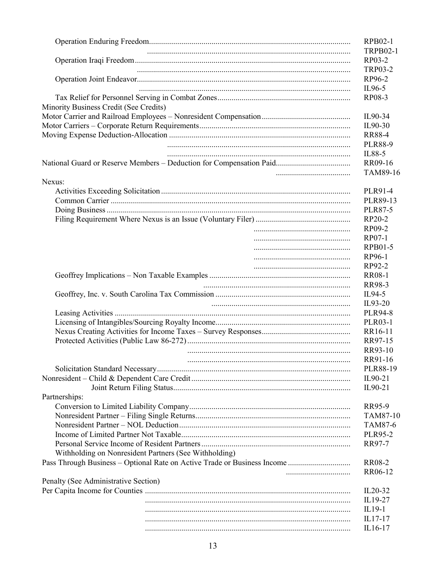|                                                       | <b>RPB02-1</b>   |
|-------------------------------------------------------|------------------|
|                                                       | <b>TRPB02-1</b>  |
|                                                       | RP03-2           |
|                                                       | <b>TRP03-2</b>   |
|                                                       | RP96-2<br>IL96-5 |
|                                                       | RP08-3           |
| Minority Business Credit (See Credits)                |                  |
|                                                       | IL90-34          |
|                                                       | IL90-30          |
|                                                       | <b>RR88-4</b>    |
|                                                       | <b>PLR88-9</b>   |
|                                                       | IL88-5           |
|                                                       | RR09-16          |
|                                                       | TAM89-16         |
| Nexus:                                                |                  |
|                                                       | PLR91-4          |
|                                                       | PLR89-13         |
|                                                       | <b>PLR87-5</b>   |
|                                                       | RP20-2           |
|                                                       | RP09-2           |
|                                                       | RP07-1           |
|                                                       | <b>RPB01-5</b>   |
|                                                       | RP96-1           |
|                                                       | RP92-2           |
|                                                       | <b>RR08-1</b>    |
|                                                       | RR98-3           |
|                                                       | IL94-5           |
|                                                       | IL93-20          |
|                                                       | <b>PLR94-8</b>   |
|                                                       | <b>PLR03-1</b>   |
|                                                       | RR16-11          |
|                                                       | RR97-15          |
|                                                       | RR93-10          |
|                                                       | RR91-16          |
|                                                       | PLR88-19         |
|                                                       | IL90-21          |
|                                                       | IL90-21          |
| Partnerships:                                         |                  |
|                                                       | RR95-9           |
|                                                       | TAM87-10         |
|                                                       | TAM87-6          |
|                                                       | <b>PLR95-2</b>   |
|                                                       | RR97-7           |
| Withholding on Nonresident Partners (See Withholding) |                  |
|                                                       | <b>RR08-2</b>    |
|                                                       | RR06-12          |
| Penalty (See Administrative Section)                  |                  |
|                                                       | $IL20-32$        |
|                                                       | IL19-27          |
|                                                       | $IL19-1$         |
|                                                       | $IL17-17$        |
|                                                       | IL16-17          |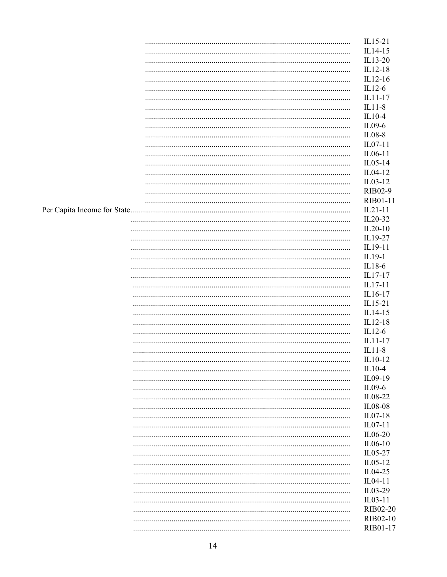|  | IL15-21   |
|--|-----------|
|  | IL14-15   |
|  | IL13-20   |
|  | IL12-18   |
|  | $IL12-16$ |
|  | $IL12-6$  |
|  | $IL11-17$ |
|  | $IL11-8$  |
|  | IL10-4    |
|  | IL09-6    |
|  | IL08-8    |
|  | $IL07-11$ |
|  |           |
|  | IL06-11   |
|  | IL05-14   |
|  | IL04-12   |
|  | IL03-12   |
|  | RIB02-9   |
|  | RIB01-11  |
|  | $IL21-11$ |
|  | $IL20-32$ |
|  | $IL20-10$ |
|  | IL19-27   |
|  | IL19-11   |
|  | IL19-1    |
|  | IL18-6    |
|  | IL17-17   |
|  | $IL17-11$ |
|  | IL16-17   |
|  | IL15-21   |
|  |           |
|  | IL14-15   |
|  | IL12-18   |
|  | $IL12-6$  |
|  | $IL11-17$ |
|  | $IL11-8$  |
|  | IL10-12   |
|  | $IL10-4$  |
|  | IL09-19   |
|  | IL09-6    |
|  | IL08-22   |
|  | IL08-08   |
|  | $IL07-18$ |
|  | IL07-11   |
|  | IL06-20   |
|  | IL06-10   |
|  | IL05-27   |
|  | IL05-12   |
|  |           |
|  | IL04-25   |
|  | IL04-11   |
|  | IL03-29   |
|  | IL03-11   |
|  | RIB02-20  |
|  | RIB02-10  |
|  | RIB01-17  |
|  |           |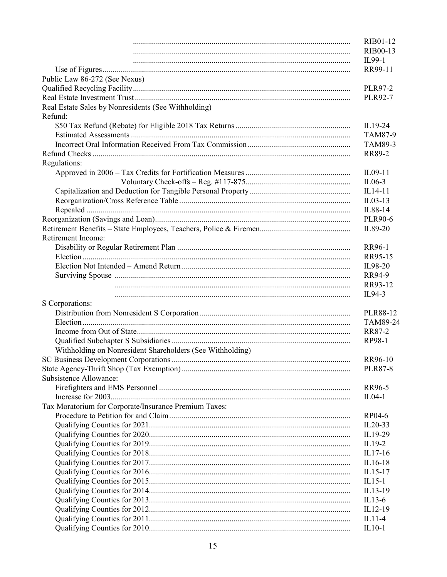|                                                           | RIB01-12       |
|-----------------------------------------------------------|----------------|
|                                                           | RIB00-13       |
|                                                           | IL99-1         |
|                                                           | RR99-11        |
| Public Law 86-272 (See Nexus)                             |                |
|                                                           | <b>PLR97-2</b> |
|                                                           | <b>PLR92-7</b> |
| Real Estate Sales by Nonresidents (See Withholding)       |                |
| Refund:                                                   |                |
|                                                           | IL19-24        |
|                                                           | TAM87-9        |
|                                                           | TAM89-3        |
|                                                           | RR89-2         |
| Regulations:                                              |                |
|                                                           | IL09-11        |
|                                                           | $IL06-3$       |
|                                                           | IL14-11        |
|                                                           | $IL03-13$      |
|                                                           | IL88-14        |
|                                                           | <b>PLR90-6</b> |
|                                                           | IL89-20        |
| Retirement Income:                                        |                |
|                                                           | RR96-1         |
|                                                           | RR95-15        |
|                                                           | IL98-20        |
|                                                           | RR94-9         |
|                                                           | RR93-12        |
|                                                           | IL94-3         |
| S Corporations:                                           |                |
|                                                           | PLR88-12       |
|                                                           | TAM89-24       |
|                                                           | RR87-2         |
|                                                           | RP98-1         |
|                                                           |                |
| Withholding on Nonresident Shareholders (See Withholding) |                |
|                                                           | RR96-10        |
| Subsistence Allowance:                                    | <b>PLR87-8</b> |
|                                                           |                |
|                                                           | RR96-5         |
|                                                           | $IL04-1$       |
| Tax Moratorium for Corporate/Insurance Premium Taxes:     |                |
|                                                           | RP04-6         |
|                                                           | $IL20-33$      |
|                                                           | IL19-29        |
|                                                           | IL19-2         |
|                                                           | $IL17-16$      |
|                                                           | IL16-18        |
|                                                           | $IL15-17$      |
|                                                           | $IL15-1$       |
|                                                           | IL13-19        |
|                                                           | $IL13-6$       |
|                                                           | IL12-19        |
|                                                           | $IL11-4$       |
|                                                           | $IL10-1$       |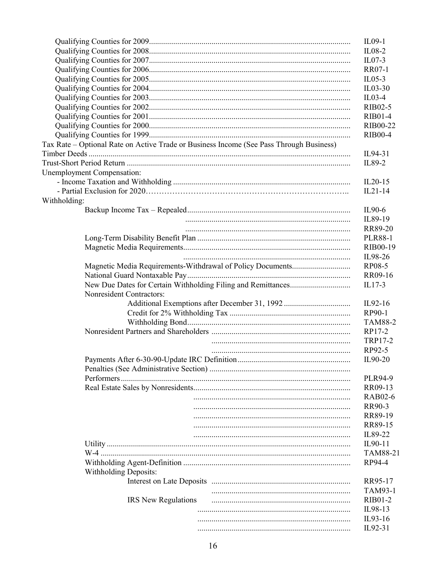|                                                                                         | IL09-1         |
|-----------------------------------------------------------------------------------------|----------------|
|                                                                                         | $IL08-2$       |
|                                                                                         | $ILO7-3$       |
|                                                                                         | RR07-1         |
|                                                                                         | $IL05-3$       |
|                                                                                         | $IL03-30$      |
|                                                                                         | $IL03-4$       |
|                                                                                         | RIB02-5        |
|                                                                                         | RIB01-4        |
|                                                                                         | RIB00-22       |
|                                                                                         | <b>RIB00-4</b> |
| Tax Rate - Optional Rate on Active Trade or Business Income (See Pass Through Business) |                |
|                                                                                         | IL94-31        |
|                                                                                         | IL89-2         |
| Unemployment Compensation:                                                              |                |
|                                                                                         | $IL20-15$      |
|                                                                                         | $IL21-14$      |
| Withholding:                                                                            |                |
|                                                                                         | IL90-6         |
|                                                                                         | IL89-19        |
|                                                                                         | RR89-20        |
|                                                                                         | <b>PLR88-1</b> |
|                                                                                         | RIB00-19       |
|                                                                                         | IL98-26        |
|                                                                                         | RP08-5         |
|                                                                                         | RR09-16        |
|                                                                                         | $IL17-3$       |
| Nonresident Contractors:                                                                |                |
|                                                                                         | IL92-16        |
|                                                                                         |                |
|                                                                                         | RP90-1         |
|                                                                                         | <b>TAM88-2</b> |
|                                                                                         | RP17-2         |
|                                                                                         | TRP17-2        |
|                                                                                         | RP92-5         |
|                                                                                         | IL90-20        |
|                                                                                         |                |
|                                                                                         | PLR94-9        |
|                                                                                         | RR09-13        |
|                                                                                         | <b>RAB02-6</b> |
|                                                                                         | RR90-3         |
|                                                                                         | RR89-19        |
|                                                                                         | RR89-15        |
|                                                                                         | IL89-22        |
|                                                                                         | IL90-11        |
|                                                                                         | TAM88-21       |
|                                                                                         | RP94-4         |
| <b>Withholding Deposits:</b>                                                            |                |
|                                                                                         | RR95-17        |
|                                                                                         | TAM93-1        |
| IRS New Regulations                                                                     | RIB01-2        |
|                                                                                         | IL98-13        |
|                                                                                         | IL93-16        |
|                                                                                         | IL92-31        |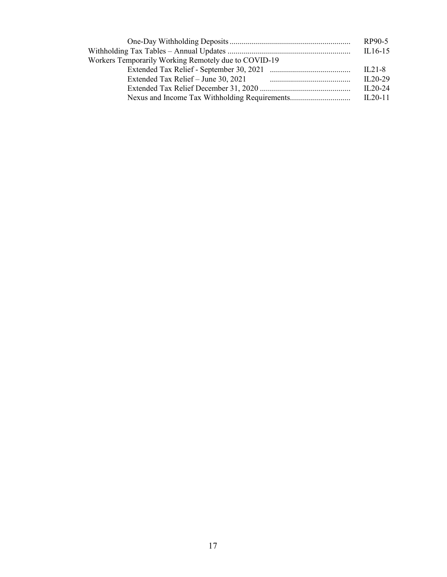|                                                      | RP90-5    |
|------------------------------------------------------|-----------|
|                                                      | $IL16-15$ |
| Workers Temporarily Working Remotely due to COVID-19 |           |
|                                                      | $IL21-8$  |
|                                                      | $IL20-29$ |
|                                                      | $IL20-24$ |
|                                                      | $IL20-11$ |
|                                                      |           |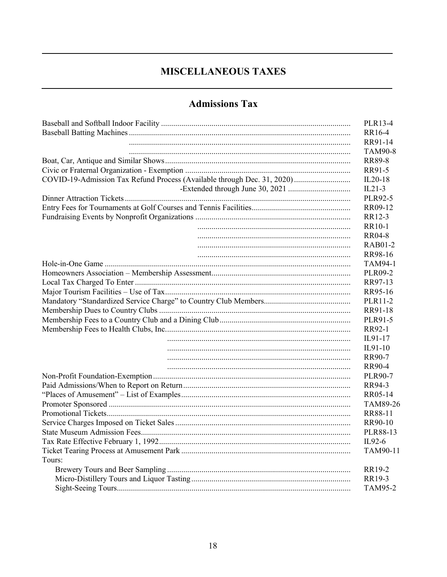## **MISCELLANEOUS TAXES**

## **Admissions Tax**

|                                                                         | PLR13-4        |
|-------------------------------------------------------------------------|----------------|
|                                                                         | RR16-4         |
|                                                                         | RR91-14        |
|                                                                         | <b>TAM90-8</b> |
|                                                                         | <b>RR89-8</b>  |
|                                                                         | RR91-5         |
| COVID-19-Admission Tax Refund Process (Available through Dec. 31, 2020) | IL20-18        |
|                                                                         | $IL21-3$       |
|                                                                         | PLR92-5        |
|                                                                         | RR09-12        |
|                                                                         | RR12-3         |
|                                                                         | RR10-1         |
|                                                                         | <b>RR04-8</b>  |
|                                                                         | <b>RAB01-2</b> |
|                                                                         | RR98-16        |
|                                                                         | <b>TAM94-1</b> |
|                                                                         | <b>PLR09-2</b> |
|                                                                         | RR97-13        |
|                                                                         | RR95-16        |
|                                                                         | PLR11-2        |
|                                                                         | RR91-18        |
|                                                                         | PLR91-5        |
|                                                                         | RR92-1         |
|                                                                         | IL91-17        |
|                                                                         | $IL91-10$      |
|                                                                         | RR90-7         |
|                                                                         | RR90-4         |
|                                                                         | <b>PLR90-7</b> |
|                                                                         | RR94-3         |
|                                                                         | RR05-14        |
|                                                                         | TAM89-26       |
|                                                                         | RR88-11        |
|                                                                         | RR90-10        |
|                                                                         | PLR88-13       |
|                                                                         | $IL92-6$       |
|                                                                         | TAM90-11       |
| Tours:                                                                  |                |
|                                                                         | RR19-2         |
|                                                                         | RR19-3         |
|                                                                         | <b>TAM95-2</b> |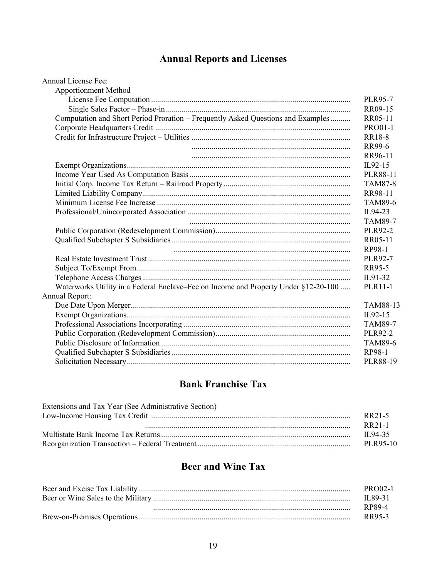# **Annual Reports and Licenses**

| <b>Annual License Fee:</b>                                                          |                |
|-------------------------------------------------------------------------------------|----------------|
| <b>Apportionment Method</b>                                                         |                |
|                                                                                     | PLR95-7        |
|                                                                                     | RR09-15        |
| Computation and Short Period Proration - Frequently Asked Questions and Examples    | RR05-11        |
|                                                                                     | <b>PRO01-1</b> |
|                                                                                     | <b>RR18-8</b>  |
|                                                                                     | RR99-6         |
|                                                                                     | RR96-11        |
|                                                                                     | IL92-15        |
|                                                                                     | PLR88-11       |
|                                                                                     | <b>TAM87-8</b> |
|                                                                                     | RR98-11        |
|                                                                                     | <b>TAM89-6</b> |
|                                                                                     | IL94-23        |
|                                                                                     | <b>TAM89-7</b> |
|                                                                                     | <b>PLR92-2</b> |
|                                                                                     | RR05-11        |
|                                                                                     | RP98-1         |
|                                                                                     | <b>PLR92-7</b> |
|                                                                                     | RR95-5         |
|                                                                                     | IL91-32        |
| Waterworks Utility in a Federal Enclave–Fee on Income and Property Under §12-20-100 | PLR11-1        |
| Annual Report:                                                                      |                |
|                                                                                     | TAM88-13       |
|                                                                                     | IL92-15        |
|                                                                                     | <b>TAM89-7</b> |
|                                                                                     | PLR92-2        |
|                                                                                     | <b>TAM89-6</b> |
|                                                                                     | RP98-1         |
|                                                                                     | PLR88-19       |

#### **Bank Franchise Tax**

| Extensions and Tax Year (See Administrative Section) |              |
|------------------------------------------------------|--------------|
|                                                      | RR21-5       |
|                                                      | RR21-1       |
|                                                      | $\Pi$ .94-35 |
|                                                      | PLR95-10     |

#### **Beer and Wine Tax**

| PRO02-1  |
|----------|
| IL 89-31 |
| RP89-4   |
| RR95-3   |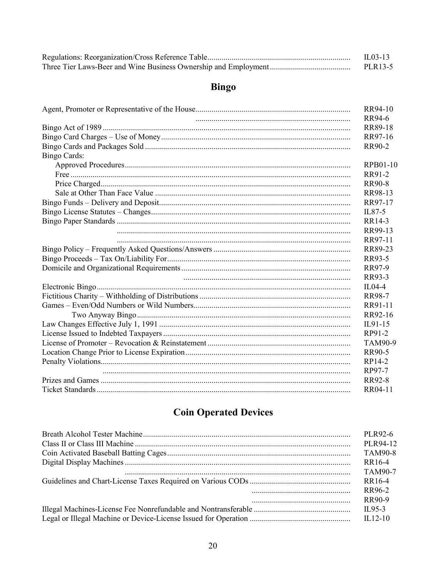| $\Pi$ .03-13 |
|--------------|
| PLR13-5      |

# **Bingo**

|                     | RR94-10        |
|---------------------|----------------|
|                     | RR94-6         |
|                     | <b>RR89-18</b> |
|                     | RR97-16        |
|                     | RR90-2         |
| <b>Bingo Cards:</b> |                |
|                     | RPB01-10       |
|                     | RR91-2         |
|                     | <b>RR90-8</b>  |
|                     | RR98-13        |
|                     | RR97-17        |
|                     | IL87-5         |
|                     | RR14-3         |
|                     | RR99-13        |
|                     | RR97-11        |
|                     | RR89-23        |
|                     | RR93-5         |
|                     | RR97-9         |
|                     | RR93-3         |
|                     | $IL04-4$       |
|                     | <b>RR98-7</b>  |
|                     | RR91-11        |
|                     | RR92-16        |
|                     | IL91-15        |
|                     | RP91-2         |
|                     | TAM90-9        |
|                     | RR90-5         |
|                     | RP14-2         |
|                     | RP97-7         |
|                     | <b>RR92-8</b>  |
|                     | RR04-11        |

# **Coin Operated Devices**

|          | PLR92-6        |
|----------|----------------|
|          | PLR94-12       |
|          | <b>TAM90-8</b> |
|          | RR16-4         |
|          | TAM90-7        |
|          | RR16-4         |
| $\cdots$ | RR96-2         |
| $\cdots$ | RR90-9         |
|          | $\Pi$ .95-3    |
|          |                |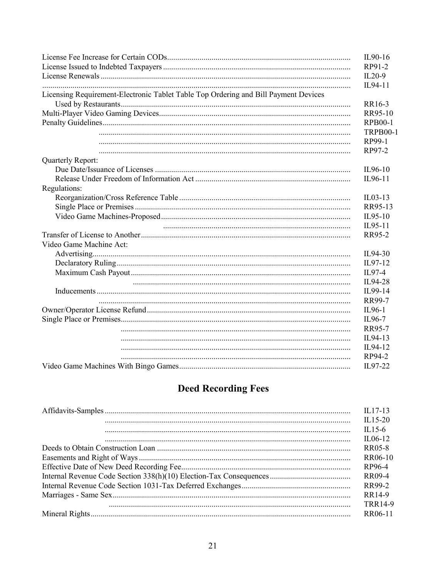|                                                                                     | IL90-16         |
|-------------------------------------------------------------------------------------|-----------------|
|                                                                                     | RP91-2          |
|                                                                                     | $IL20-9$        |
|                                                                                     | IL94-11         |
| Licensing Requirement-Electronic Tablet Table Top Ordering and Bill Payment Devices |                 |
|                                                                                     | RR16-3          |
|                                                                                     | RR95-10         |
|                                                                                     | <b>RPB00-1</b>  |
|                                                                                     | <b>TRPB00-1</b> |
|                                                                                     | RP99-1          |
|                                                                                     | RP97-2          |
| Quarterly Report:                                                                   |                 |
|                                                                                     | IL96-10         |
|                                                                                     | IL96-11         |
| Regulations:                                                                        |                 |
|                                                                                     | $IL03-13$       |
|                                                                                     | RR95-13         |
|                                                                                     | IL95-10         |
|                                                                                     | IL95-11         |
|                                                                                     | RR95-2          |
| Video Game Machine Act:                                                             |                 |
|                                                                                     | IL94-30         |
|                                                                                     | IL97-12         |
|                                                                                     | IL97-4          |
|                                                                                     | IL94-28         |
|                                                                                     | IL99-14         |
|                                                                                     | RR99-7          |
|                                                                                     | IL96-1          |
|                                                                                     | IL96-7          |
|                                                                                     | RR95-7          |
|                                                                                     | IL94-13         |
|                                                                                     | IL94-12         |
|                                                                                     | RP94-2          |
|                                                                                     | IL97-22         |

# **Deed Recording Fees**

| $II.17-13$     |
|----------------|
| $IL15-20$      |
| $\Pi$ .15-6    |
| $IL06-12$      |
| RR05-8         |
| RR06-10        |
| RP96-4         |
| RR09-4         |
| RR99-2         |
| RR14-9         |
| <b>TRR14-9</b> |
| RR06-11        |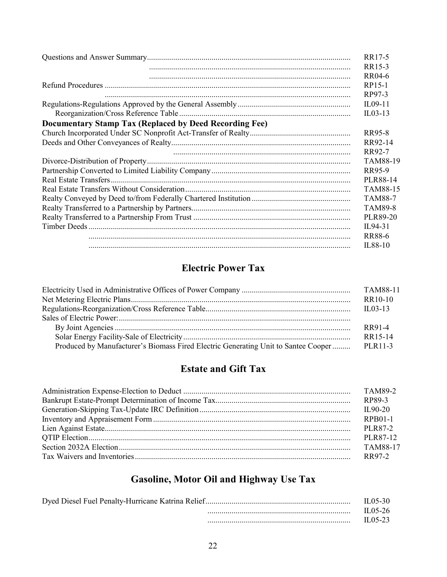|                                                        | RR17-5          |
|--------------------------------------------------------|-----------------|
|                                                        | RR15-3          |
|                                                        | RR04-6          |
|                                                        | RP15-1          |
|                                                        | RP97-3          |
|                                                        | IL09-11         |
|                                                        | $IL03-13$       |
| Documentary Stamp Tax (Replaced by Deed Recording Fee) |                 |
|                                                        | RR95-8          |
|                                                        | RR92-14         |
|                                                        | RR92-7          |
|                                                        | <b>TAM88-19</b> |
|                                                        | RR95-9          |
|                                                        | PLR88-14        |
|                                                        | TAM88-15        |
|                                                        | <b>TAM88-7</b>  |
|                                                        | <b>TAM89-8</b>  |
|                                                        | PLR89-20        |
|                                                        | IL94-31         |
|                                                        | <b>RR88-6</b>   |
|                                                        | IL88-10         |

## **Electric Power Tax**

|                                                                                    | TAM88-11    |
|------------------------------------------------------------------------------------|-------------|
|                                                                                    | RR10-10     |
|                                                                                    | $\Pi$ 03-13 |
|                                                                                    |             |
|                                                                                    | RR91-4      |
|                                                                                    | RR15-14     |
| Produced by Manufacturer's Biomass Fired Electric Generating Unit to Santee Cooper | PLR11-3     |

## **Estate and Gift Tax**

| RPB01-1  |
|----------|
| PLR87-2  |
| PLR87-12 |
| TAM88-17 |
| RR97-2   |

# Gasoline, Motor Oil and Highway Use Tax

| IL 05-30 |
|----------|
| II.05-26 |
| II 05-23 |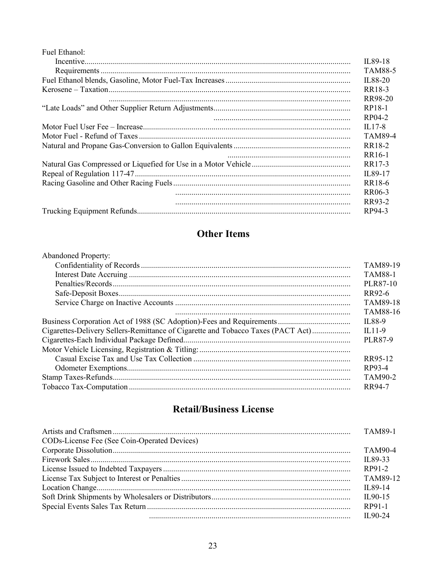| Fuel Ethanol: |                    |
|---------------|--------------------|
|               | IL89-18            |
|               | <b>TAM88-5</b>     |
|               | IL88-20            |
|               | RR18-3             |
|               | RR98-20            |
|               | RP18-1             |
|               | RP04-2             |
|               | $IL17-8$           |
|               | <b>TAM89-4</b>     |
|               | RR18-2             |
|               | RR <sub>16-1</sub> |
|               | RR17-3             |
|               | IL89-17            |
|               | RR18-6             |
|               | RR06-3             |
|               | RR93-2             |
|               | RP94-3             |

## **Other Items**

| Abandoned Property:                                                              |                 |
|----------------------------------------------------------------------------------|-----------------|
|                                                                                  | TAM89-19        |
|                                                                                  | <b>TAM88-1</b>  |
|                                                                                  | PLR87-10        |
|                                                                                  | RR92-6          |
|                                                                                  | <b>TAM89-18</b> |
|                                                                                  | <b>TAM88-16</b> |
|                                                                                  | IL88-9          |
| Cigarettes-Delivery Sellers-Remittance of Cigarette and Tobacco Taxes (PACT Act) | $\Pi$ .11-9     |
|                                                                                  | PLR87-9         |
|                                                                                  |                 |
|                                                                                  | RR95-12         |
|                                                                                  | RP93-4          |
|                                                                                  | TAM90-2         |
|                                                                                  | RR94-7          |
|                                                                                  |                 |

## **Retail/Business License**

|                                              | <b>TAM89-1</b>    |
|----------------------------------------------|-------------------|
| CODs-License Fee (See Coin-Operated Devices) |                   |
|                                              | TAM90-4           |
|                                              | IL 89-33          |
|                                              | RP91-2            |
|                                              | TAM89-12          |
|                                              | IL 89-14          |
|                                              | $\text{II}.90-15$ |
|                                              | RP91-1            |
|                                              | $\Pi$ .90-24      |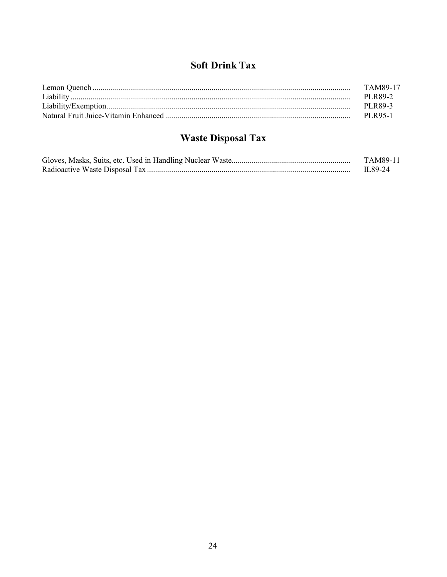## **Soft Drink Tax**

| TAM89-17 |
|----------|
| PLR89-2  |
|          |
|          |

# **Waste Disposal Tax**

| TAM89-11 |
|----------|
| IL 89-24 |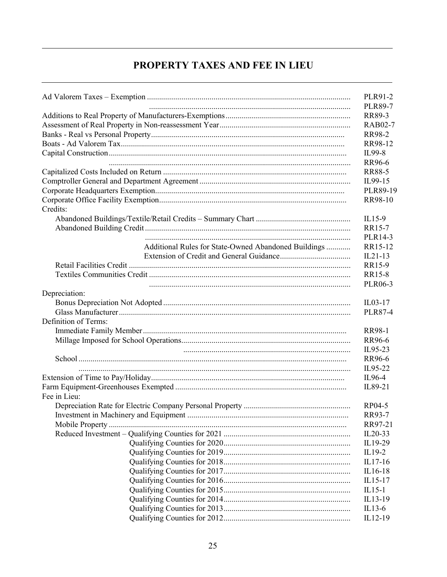#### PROPERTY TAXES AND FEE IN LIEU

|                                                      | PLR91-2                  |
|------------------------------------------------------|--------------------------|
|                                                      | <b>PLR89-7</b><br>RR89-3 |
|                                                      | <b>RAB02-7</b>           |
|                                                      | RR98-2                   |
|                                                      |                          |
|                                                      | RR98-12                  |
|                                                      | IL99-8                   |
|                                                      | RR96-6                   |
|                                                      | <b>RR88-5</b>            |
|                                                      | IL99-15                  |
|                                                      | PLR89-19                 |
|                                                      | RR98-10                  |
| Credits:                                             |                          |
|                                                      | $IL15-9$                 |
|                                                      | RR15-7                   |
|                                                      | PLR14-3                  |
| Additional Rules for State-Owned Abandoned Buildings | RR15-12                  |
|                                                      | $IL21-13$                |
|                                                      | RR15-9                   |
|                                                      | RR15-8                   |
|                                                      | <b>PLR06-3</b>           |
| Depreciation:                                        |                          |
|                                                      | IL03-17                  |
|                                                      | <b>PLR87-4</b>           |
| Definition of Terms:                                 |                          |
|                                                      | <b>RR98-1</b>            |
|                                                      | RR96-6                   |
|                                                      | IL95-23                  |
|                                                      | RR96-6                   |
|                                                      | IL95-22                  |
|                                                      | IL96-4                   |
|                                                      | IL89-21                  |
| Fee in Lieu:                                         |                          |
|                                                      | RP04-5                   |
|                                                      | RR93-7                   |
|                                                      | RR97-21                  |
|                                                      | $IL20-33$                |
|                                                      | IL19-29                  |
|                                                      | IL19-2                   |
|                                                      | IL17-16                  |
|                                                      | IL16-18                  |
|                                                      | IL15-17                  |
|                                                      |                          |
|                                                      | $IL15-1$                 |
|                                                      | IL13-19                  |
|                                                      | $IL13-6$                 |
|                                                      | IL12-19                  |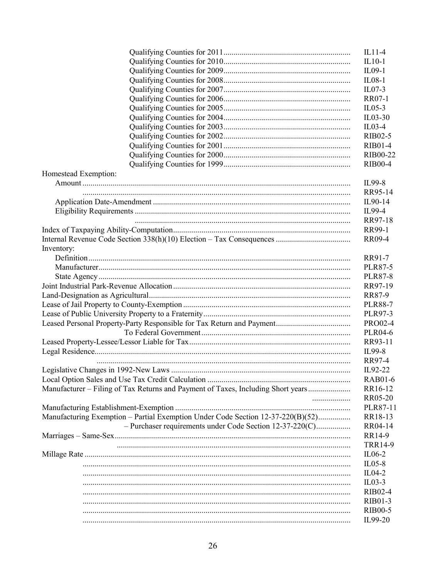|                                                                                  | $IL10-1$       |
|----------------------------------------------------------------------------------|----------------|
|                                                                                  | $IL09-1$       |
|                                                                                  | $IL08-1$       |
|                                                                                  | $ILO7-3$       |
|                                                                                  | <b>RR07-1</b>  |
|                                                                                  | $IL05-3$       |
|                                                                                  | $IL03-30$      |
|                                                                                  | $IL03-4$       |
|                                                                                  | <b>RIB02-5</b> |
|                                                                                  | <b>RIB01-4</b> |
|                                                                                  | RIB00-22       |
|                                                                                  | <b>RIB00-4</b> |
|                                                                                  |                |
| Homestead Exemption:                                                             |                |
|                                                                                  | IL99-8         |
|                                                                                  | RR95-14        |
|                                                                                  | IL90-14        |
|                                                                                  | IL99-4         |
|                                                                                  | RR97-18        |
|                                                                                  | RR99-1         |
|                                                                                  | <b>RR09-4</b>  |
| Inventory:                                                                       |                |
|                                                                                  | RR91-7         |
|                                                                                  | <b>PLR87-5</b> |
|                                                                                  | <b>PLR87-8</b> |
|                                                                                  | RR97-19        |
|                                                                                  | RR87-9         |
|                                                                                  | <b>PLR88-7</b> |
|                                                                                  | <b>PLR97-3</b> |
|                                                                                  | <b>PRO02-4</b> |
|                                                                                  | <b>PLR04-6</b> |
|                                                                                  | RR93-11        |
|                                                                                  | IL99-8         |
|                                                                                  | RR97-4         |
|                                                                                  | IL92-22        |
|                                                                                  | <b>RAB01-6</b> |
| Manufacturer - Filing of Tax Returns and Payment of Taxes, Including Short years | RR16-12        |
|                                                                                  |                |
| .                                                                                | <b>RR05-20</b> |
|                                                                                  | PLR87-11       |
| Manufacturing Exemption - Partial Exemption Under Code Section 12-37-220(B)(52)  | RR18-13        |
| - Purchaser requirements under Code Section 12-37-220(C)                         | RR04-14        |
|                                                                                  | RR14-9         |
|                                                                                  | <b>TRR14-9</b> |
|                                                                                  | $IL06-2$       |
|                                                                                  | $ILO5-8$       |
|                                                                                  | IL04-2         |
|                                                                                  | $IL03-3$       |
|                                                                                  | <b>RIB02-4</b> |
|                                                                                  | RIB01-3        |
|                                                                                  | <b>RIB00-5</b> |
|                                                                                  | IL99-20        |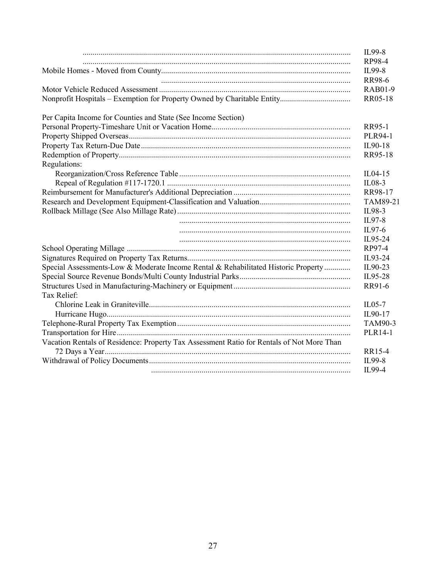|                                                                                           | IL99-8           |
|-------------------------------------------------------------------------------------------|------------------|
|                                                                                           | RP98-4<br>IL99-8 |
|                                                                                           | <b>RR98-6</b>    |
|                                                                                           | RAB01-9          |
|                                                                                           | RR05-18          |
| Per Capita Income for Counties and State (See Income Section)                             |                  |
|                                                                                           | <b>RR95-1</b>    |
|                                                                                           | <b>PLR94-1</b>   |
|                                                                                           | IL90-18          |
|                                                                                           | RR95-18          |
| Regulations:                                                                              |                  |
|                                                                                           | $IL04-15$        |
|                                                                                           | IL08-3           |
|                                                                                           | RR98-17          |
|                                                                                           | TAM89-21         |
|                                                                                           | IL98-3           |
|                                                                                           | IL97-8           |
|                                                                                           | IL97-6           |
|                                                                                           | IL95-24          |
|                                                                                           | RP97-4           |
|                                                                                           | IL93-24          |
| Special Assessments-Low & Moderate Income Rental & Rehabilitated Historic Property        | IL90-23          |
|                                                                                           | IL95-28          |
|                                                                                           | RR91-6           |
| Tax Relief:                                                                               |                  |
|                                                                                           | $IL05-7$         |
|                                                                                           | IL90-17          |
|                                                                                           | TAM90-3          |
|                                                                                           | PLR14-1          |
| Vacation Rentals of Residence: Property Tax Assessment Ratio for Rentals of Not More Than |                  |
|                                                                                           | RR15-4           |
|                                                                                           | IL99-8           |
|                                                                                           | IL99-4           |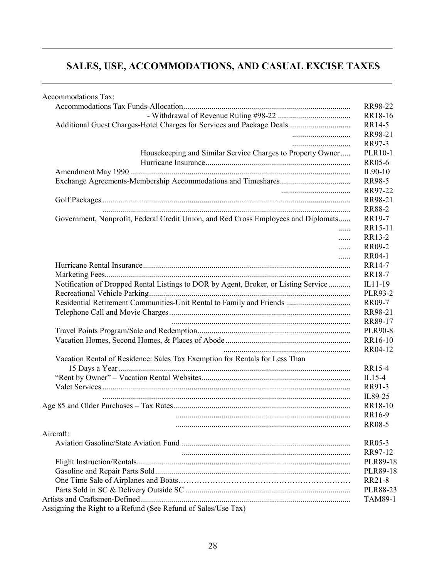# **SALES, USE, ACCOMMODATIONS, AND CASUAL EXCISE TAXES**

| Accommodations Tax:                                                                 |                 |
|-------------------------------------------------------------------------------------|-----------------|
|                                                                                     | RR98-22         |
|                                                                                     | RR18-16         |
| Additional Guest Charges-Hotel Charges for Services and Package Deals               | RR14-5          |
|                                                                                     | RR98-21         |
|                                                                                     | RR97-3          |
| Housekeeping and Similar Service Charges to Property Owner                          | <b>PLR10-1</b>  |
|                                                                                     | RR05-6          |
|                                                                                     | IL90-10         |
|                                                                                     | RR98-5          |
|                                                                                     | RR97-22         |
|                                                                                     | RR98-21         |
|                                                                                     | <b>RR88-2</b>   |
| Government, Nonprofit, Federal Credit Union, and Red Cross Employees and Diplomats  | RR19-7          |
| .                                                                                   | RR15-11         |
| .                                                                                   | RR13-2          |
| .                                                                                   | RR09-2          |
| .                                                                                   | <b>RR04-1</b>   |
|                                                                                     | RR14-7          |
|                                                                                     | RR18-7          |
| Notification of Dropped Rental Listings to DOR by Agent, Broker, or Listing Service | IL11-19         |
|                                                                                     | <b>PLR93-2</b>  |
| Residential Retirement Communities-Unit Rental to Family and Friends                | RR09-7          |
|                                                                                     | RR98-21         |
|                                                                                     | RR89-17         |
|                                                                                     | <b>PLR90-8</b>  |
|                                                                                     | RR16-10         |
|                                                                                     | RR04-12         |
| Vacation Rental of Residence: Sales Tax Exemption for Rentals for Less Than         |                 |
|                                                                                     | RR15-4          |
|                                                                                     | $IL15-4$        |
|                                                                                     | RR91-3          |
|                                                                                     | IL89-25         |
|                                                                                     | RR18-10         |
|                                                                                     | RR16-9          |
|                                                                                     | <b>RR08-5</b>   |
| Aircraft:                                                                           |                 |
|                                                                                     | RR05-3          |
|                                                                                     | RR97-12         |
|                                                                                     | PLR89-18        |
|                                                                                     | <b>PLR89-18</b> |
|                                                                                     | RR21-8          |
|                                                                                     | <b>PLR88-23</b> |
|                                                                                     | TAM89-1         |
| Assigning the Right to a Refund (See Refund of Sales/Use Tax)                       |                 |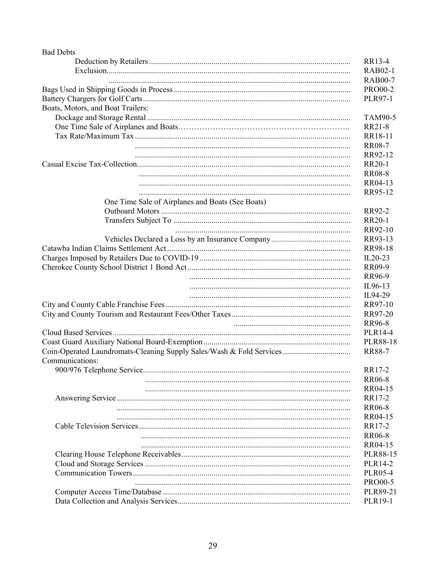| <b>Bad Debts</b>                                 |                 |
|--------------------------------------------------|-----------------|
|                                                  | RR13-4          |
|                                                  | <b>RAB02-1</b>  |
|                                                  | <b>RAB00-7</b>  |
|                                                  | <b>PRO00-2</b>  |
|                                                  | <b>PLR97-1</b>  |
| Boats, Motors, and Boat Trailers:                |                 |
|                                                  | TAM90-5         |
|                                                  | RR21-8          |
|                                                  | RR18-11         |
|                                                  | <b>RR08-7</b>   |
|                                                  | RR92-12         |
|                                                  | RR20-1          |
|                                                  | <b>RR08-8</b>   |
|                                                  | RR04-13         |
|                                                  | RR95-12         |
| One Time Sale of Airplanes and Boats (See Boats) |                 |
|                                                  | RR92-2          |
|                                                  | RR20-1          |
|                                                  | RR92-10         |
|                                                  | RR93-13         |
|                                                  | RR98-18         |
|                                                  | $IL20-23$       |
|                                                  | RR09-9          |
|                                                  | RR96-9          |
|                                                  | IL96-13         |
|                                                  | IL94-29         |
|                                                  | RR97-10         |
|                                                  | RR97-20         |
|                                                  | RR96-8          |
|                                                  | PLR14-4         |
|                                                  | <b>PLR88-18</b> |
|                                                  | <b>RR88-7</b>   |
|                                                  |                 |
| Communications:                                  |                 |
|                                                  | RR17-2          |
|                                                  | <b>RR06-8</b>   |
|                                                  | RR04-15         |
|                                                  | RR17-2          |
|                                                  | <b>RR06-8</b>   |
|                                                  | RR04-15         |
|                                                  | RR17-2          |
|                                                  | <b>RR06-8</b>   |
|                                                  | RR04-15         |
|                                                  | PLR88-15        |
|                                                  | PLR14-2         |
|                                                  | <b>PLR05-4</b>  |
|                                                  | <b>PRO00-5</b>  |
|                                                  | PLR89-21        |
|                                                  | PLR19-1         |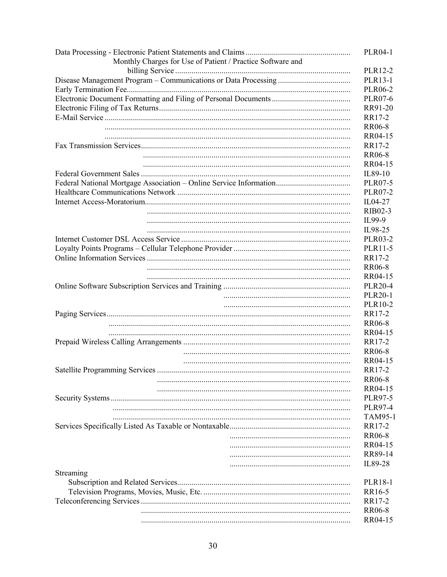| Monthly Charges for Use of Patient / Practice Software and | <b>PLR04-1</b>            |
|------------------------------------------------------------|---------------------------|
|                                                            | PLR12-2                   |
|                                                            | PLR13-1                   |
|                                                            | <b>PLR06-2</b>            |
|                                                            | <b>PLR07-6</b>            |
|                                                            | RR91-20                   |
|                                                            | RR17-2                    |
|                                                            | <b>RR06-8</b>             |
|                                                            | RR04-15                   |
|                                                            | RR17-2                    |
|                                                            | <b>RR06-8</b>             |
|                                                            | RR04-15                   |
|                                                            | IL89-10                   |
|                                                            | <b>PLR07-5</b>            |
|                                                            | <b>PLR07-2</b>            |
|                                                            | IL04-27                   |
|                                                            | RIB02-3                   |
|                                                            | IL99-9                    |
|                                                            |                           |
|                                                            | IL98-25                   |
|                                                            | <b>PLR03-2</b><br>PLR11-5 |
|                                                            |                           |
|                                                            | RR17-2                    |
|                                                            | <b>RR06-8</b>             |
|                                                            | RR04-15                   |
|                                                            | <b>PLR20-4</b>            |
|                                                            | <b>PLR20-1</b>            |
|                                                            | PLR10-2                   |
|                                                            | RR17-2                    |
|                                                            | <b>RR06-8</b>             |
|                                                            | RR04-15                   |
|                                                            | RR17-2                    |
|                                                            | <b>RR06-8</b>             |
|                                                            | RR04-15                   |
|                                                            | RR17-2                    |
|                                                            | <b>RR06-8</b>             |
|                                                            | RR04-15                   |
|                                                            | PLR97-5                   |
|                                                            | <b>PLR97-4</b>            |
|                                                            | <b>TAM95-1</b>            |
|                                                            | RR17-2                    |
|                                                            | <b>RR06-8</b>             |
|                                                            | RR04-15                   |
|                                                            | RR89-14                   |
|                                                            | IL89-28                   |
| Streaming                                                  |                           |
|                                                            | <b>PLR18-1</b>            |
|                                                            | RR16-5                    |
|                                                            | RR17-2                    |
|                                                            | <b>RR06-8</b>             |
|                                                            | RR04-15                   |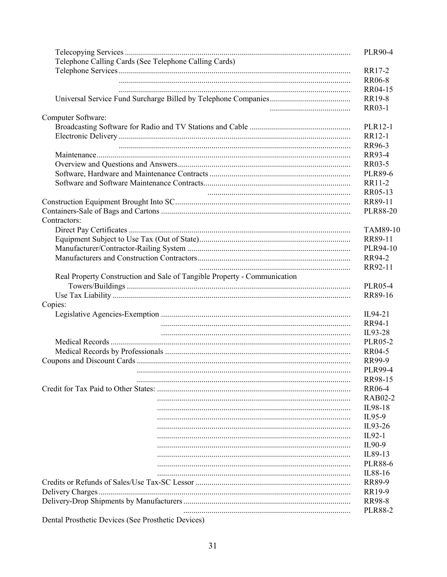| Telephone Calling Cards (See Telephone Calling Cards)<br>RR17-2<br><b>RR06-8</b><br>RR04-15<br>RR19-8<br><b>RR03-1</b><br>Computer Software:<br>PLR12-1<br>RR12-1<br>RR96-3<br>RR93-4<br>RR03-5<br><b>PLR89-6</b><br>RR11-2<br>RR05-13<br>RR89-11<br><b>PLR88-20</b><br>Contractors:<br>TAM89-10<br>RR89-11<br>PLR94-10<br>RR94-2<br>RR92-11<br>Real Property Construction and Sale of Tangible Property - Communication<br><b>PLR05-4</b><br>RR89-16<br>Copies:<br>IL94-21<br>RR94-1<br>IL93-28<br><b>PLR05-2</b><br>RR04-5<br>RR99-9<br><b>PLR99-4</b><br>RR98-15<br><b>RR06-4</b><br><b>RAB02-2</b><br>IL98-18<br>IL95-9<br>IL93-26<br>$IL92-1$<br>IL90-9<br>IL89-13<br><b>PLR88-6</b><br>IL88-16<br><b>RR89-9</b><br>RR19-9<br><b>RR98-8</b><br><b>PLR88-2</b> | <b>PLR90-4</b> |
|--------------------------------------------------------------------------------------------------------------------------------------------------------------------------------------------------------------------------------------------------------------------------------------------------------------------------------------------------------------------------------------------------------------------------------------------------------------------------------------------------------------------------------------------------------------------------------------------------------------------------------------------------------------------------------------------------------------------------------------------------------------------|----------------|
|                                                                                                                                                                                                                                                                                                                                                                                                                                                                                                                                                                                                                                                                                                                                                                    |                |
|                                                                                                                                                                                                                                                                                                                                                                                                                                                                                                                                                                                                                                                                                                                                                                    |                |
|                                                                                                                                                                                                                                                                                                                                                                                                                                                                                                                                                                                                                                                                                                                                                                    |                |
|                                                                                                                                                                                                                                                                                                                                                                                                                                                                                                                                                                                                                                                                                                                                                                    |                |
|                                                                                                                                                                                                                                                                                                                                                                                                                                                                                                                                                                                                                                                                                                                                                                    |                |
|                                                                                                                                                                                                                                                                                                                                                                                                                                                                                                                                                                                                                                                                                                                                                                    |                |
|                                                                                                                                                                                                                                                                                                                                                                                                                                                                                                                                                                                                                                                                                                                                                                    |                |
|                                                                                                                                                                                                                                                                                                                                                                                                                                                                                                                                                                                                                                                                                                                                                                    |                |
|                                                                                                                                                                                                                                                                                                                                                                                                                                                                                                                                                                                                                                                                                                                                                                    |                |
|                                                                                                                                                                                                                                                                                                                                                                                                                                                                                                                                                                                                                                                                                                                                                                    |                |
|                                                                                                                                                                                                                                                                                                                                                                                                                                                                                                                                                                                                                                                                                                                                                                    |                |
|                                                                                                                                                                                                                                                                                                                                                                                                                                                                                                                                                                                                                                                                                                                                                                    |                |
|                                                                                                                                                                                                                                                                                                                                                                                                                                                                                                                                                                                                                                                                                                                                                                    |                |
|                                                                                                                                                                                                                                                                                                                                                                                                                                                                                                                                                                                                                                                                                                                                                                    |                |
|                                                                                                                                                                                                                                                                                                                                                                                                                                                                                                                                                                                                                                                                                                                                                                    |                |
|                                                                                                                                                                                                                                                                                                                                                                                                                                                                                                                                                                                                                                                                                                                                                                    |                |
|                                                                                                                                                                                                                                                                                                                                                                                                                                                                                                                                                                                                                                                                                                                                                                    |                |
|                                                                                                                                                                                                                                                                                                                                                                                                                                                                                                                                                                                                                                                                                                                                                                    |                |
|                                                                                                                                                                                                                                                                                                                                                                                                                                                                                                                                                                                                                                                                                                                                                                    |                |
|                                                                                                                                                                                                                                                                                                                                                                                                                                                                                                                                                                                                                                                                                                                                                                    |                |
|                                                                                                                                                                                                                                                                                                                                                                                                                                                                                                                                                                                                                                                                                                                                                                    |                |
|                                                                                                                                                                                                                                                                                                                                                                                                                                                                                                                                                                                                                                                                                                                                                                    |                |
|                                                                                                                                                                                                                                                                                                                                                                                                                                                                                                                                                                                                                                                                                                                                                                    |                |
|                                                                                                                                                                                                                                                                                                                                                                                                                                                                                                                                                                                                                                                                                                                                                                    |                |
|                                                                                                                                                                                                                                                                                                                                                                                                                                                                                                                                                                                                                                                                                                                                                                    |                |
|                                                                                                                                                                                                                                                                                                                                                                                                                                                                                                                                                                                                                                                                                                                                                                    |                |
|                                                                                                                                                                                                                                                                                                                                                                                                                                                                                                                                                                                                                                                                                                                                                                    |                |
|                                                                                                                                                                                                                                                                                                                                                                                                                                                                                                                                                                                                                                                                                                                                                                    |                |
|                                                                                                                                                                                                                                                                                                                                                                                                                                                                                                                                                                                                                                                                                                                                                                    |                |
|                                                                                                                                                                                                                                                                                                                                                                                                                                                                                                                                                                                                                                                                                                                                                                    |                |
|                                                                                                                                                                                                                                                                                                                                                                                                                                                                                                                                                                                                                                                                                                                                                                    |                |
|                                                                                                                                                                                                                                                                                                                                                                                                                                                                                                                                                                                                                                                                                                                                                                    |                |
|                                                                                                                                                                                                                                                                                                                                                                                                                                                                                                                                                                                                                                                                                                                                                                    |                |
|                                                                                                                                                                                                                                                                                                                                                                                                                                                                                                                                                                                                                                                                                                                                                                    |                |
|                                                                                                                                                                                                                                                                                                                                                                                                                                                                                                                                                                                                                                                                                                                                                                    |                |
|                                                                                                                                                                                                                                                                                                                                                                                                                                                                                                                                                                                                                                                                                                                                                                    |                |
|                                                                                                                                                                                                                                                                                                                                                                                                                                                                                                                                                                                                                                                                                                                                                                    |                |
|                                                                                                                                                                                                                                                                                                                                                                                                                                                                                                                                                                                                                                                                                                                                                                    |                |
|                                                                                                                                                                                                                                                                                                                                                                                                                                                                                                                                                                                                                                                                                                                                                                    |                |
|                                                                                                                                                                                                                                                                                                                                                                                                                                                                                                                                                                                                                                                                                                                                                                    |                |
|                                                                                                                                                                                                                                                                                                                                                                                                                                                                                                                                                                                                                                                                                                                                                                    |                |
|                                                                                                                                                                                                                                                                                                                                                                                                                                                                                                                                                                                                                                                                                                                                                                    |                |
|                                                                                                                                                                                                                                                                                                                                                                                                                                                                                                                                                                                                                                                                                                                                                                    |                |
|                                                                                                                                                                                                                                                                                                                                                                                                                                                                                                                                                                                                                                                                                                                                                                    |                |
|                                                                                                                                                                                                                                                                                                                                                                                                                                                                                                                                                                                                                                                                                                                                                                    |                |
|                                                                                                                                                                                                                                                                                                                                                                                                                                                                                                                                                                                                                                                                                                                                                                    |                |
|                                                                                                                                                                                                                                                                                                                                                                                                                                                                                                                                                                                                                                                                                                                                                                    |                |
|                                                                                                                                                                                                                                                                                                                                                                                                                                                                                                                                                                                                                                                                                                                                                                    |                |
|                                                                                                                                                                                                                                                                                                                                                                                                                                                                                                                                                                                                                                                                                                                                                                    |                |

Dental Prosthetic Devices (See Prosthetic Devices)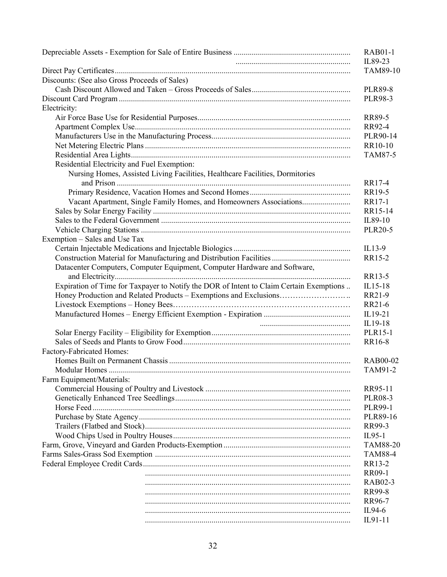|                                                                                         | <b>RAB01-1</b>      |
|-----------------------------------------------------------------------------------------|---------------------|
|                                                                                         | IL89-23<br>TAM89-10 |
| Discounts: (See also Gross Proceeds of Sales)                                           |                     |
|                                                                                         | <b>PLR89-8</b>      |
|                                                                                         | <b>PLR98-3</b>      |
| Electricity:                                                                            |                     |
|                                                                                         | <b>RR89-5</b>       |
|                                                                                         | RR92-4              |
|                                                                                         | PLR90-14            |
|                                                                                         | RR10-10             |
|                                                                                         | TAM87-5             |
| Residential Electricity and Fuel Exemption:                                             |                     |
| Nursing Homes, Assisted Living Facilities, Healthcare Facilities, Dormitories           |                     |
|                                                                                         | RR17-4              |
|                                                                                         | RR19-5              |
| Vacant Apartment, Single Family Homes, and Homeowners Associations                      | RR17-1              |
|                                                                                         | RR15-14             |
|                                                                                         | IL89-10             |
|                                                                                         | <b>PLR20-5</b>      |
| Exemption – Sales and Use Tax                                                           |                     |
|                                                                                         | $IL13-9$            |
|                                                                                         | RR15-2              |
| Datacenter Computers, Computer Equipment, Computer Hardware and Software,               | RR13-5              |
| Expiration of Time for Taxpayer to Notify the DOR of Intent to Claim Certain Exemptions | IL15-18             |
|                                                                                         | RR21-9              |
|                                                                                         | RR21-6              |
|                                                                                         | IL19-21             |
|                                                                                         | IL19-18             |
|                                                                                         | PLR15-1             |
|                                                                                         | RR16-8              |
| Factory-Fabricated Homes:                                                               |                     |
|                                                                                         | RAB00-02            |
|                                                                                         | TAM91-2             |
| Farm Equipment/Materials:                                                               |                     |
|                                                                                         | RR95-11             |
|                                                                                         | <b>PLR08-3</b>      |
|                                                                                         | <b>PLR99-1</b>      |
|                                                                                         | PLR89-16            |
|                                                                                         | RR99-3              |
|                                                                                         | $IL95-1$            |
|                                                                                         | <b>TAM88-20</b>     |
|                                                                                         | <b>TAM88-4</b>      |
|                                                                                         | RR13-2              |
|                                                                                         | RR09-1              |
|                                                                                         | RAB02-3             |
|                                                                                         | RR99-8              |
|                                                                                         | RR96-7              |
|                                                                                         | IL94-6              |
|                                                                                         | IL91-11             |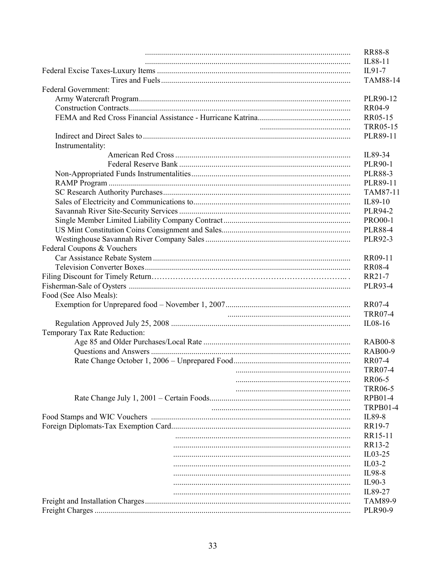| <b>Federal Government:</b>    |  |
|-------------------------------|--|
|                               |  |
|                               |  |
|                               |  |
|                               |  |
|                               |  |
| Instrumentality:              |  |
|                               |  |
|                               |  |
|                               |  |
|                               |  |
|                               |  |
|                               |  |
|                               |  |
|                               |  |
|                               |  |
|                               |  |
| Federal Coupons & Vouchers    |  |
|                               |  |
|                               |  |
|                               |  |
|                               |  |
|                               |  |
| Food (See Also Meals):        |  |
|                               |  |
|                               |  |
|                               |  |
| Temporary Tax Rate Reduction: |  |
|                               |  |
|                               |  |
|                               |  |
|                               |  |
|                               |  |
|                               |  |
|                               |  |
|                               |  |
|                               |  |
|                               |  |
|                               |  |
|                               |  |
|                               |  |
|                               |  |
|                               |  |
|                               |  |
|                               |  |
|                               |  |
|                               |  |
|                               |  |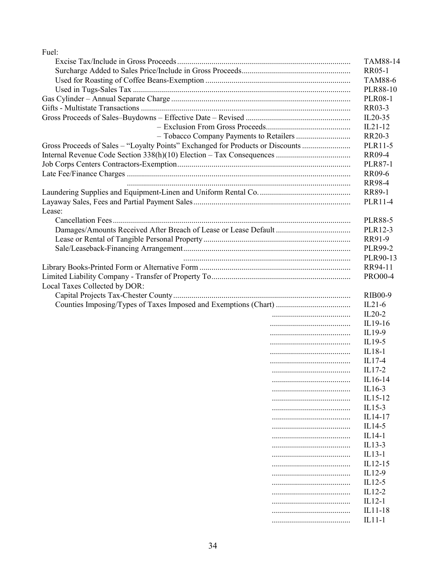| Fuel:                                                                          |  |                          |
|--------------------------------------------------------------------------------|--|--------------------------|
|                                                                                |  | <b>TAM88-14</b>          |
|                                                                                |  | RR05-1                   |
|                                                                                |  | <b>TAM88-6</b>           |
|                                                                                |  | <b>PLR88-10</b>          |
|                                                                                |  | <b>PLR08-1</b><br>RR03-3 |
|                                                                                |  |                          |
|                                                                                |  | $IL20-35$                |
|                                                                                |  | $IL21-12$                |
|                                                                                |  | RR20-3                   |
| Gross Proceeds of Sales - "Loyalty Points" Exchanged for Products or Discounts |  | PLR11-5                  |
|                                                                                |  | <b>RR09-4</b>            |
|                                                                                |  | <b>PLR87-1</b>           |
|                                                                                |  | RR09-6                   |
|                                                                                |  | <b>RR98-4</b>            |
|                                                                                |  | RR89-1                   |
|                                                                                |  | PLR11-4                  |
| Lease:                                                                         |  | <b>PLR88-5</b>           |
|                                                                                |  | PLR12-3                  |
|                                                                                |  | RR91-9                   |
|                                                                                |  | PLR99-2                  |
|                                                                                |  | PLR90-13                 |
|                                                                                |  | RR94-11                  |
|                                                                                |  | <b>PRO00-4</b>           |
| Local Taxes Collected by DOR:                                                  |  |                          |
|                                                                                |  | <b>RIB00-9</b>           |
|                                                                                |  | $IL21-6$                 |
|                                                                                |  | $IL20-2$                 |
|                                                                                |  | IL19-16                  |
|                                                                                |  | IL19-9                   |
|                                                                                |  | IL19-5                   |
|                                                                                |  | $IL18-1$                 |
|                                                                                |  | $IL17-4$                 |
|                                                                                |  | $IL17-2$                 |
|                                                                                |  | IL16-14                  |
|                                                                                |  | IL16-3                   |
|                                                                                |  | IL15-12                  |
|                                                                                |  | $IL15-3$                 |
|                                                                                |  | IL14-17                  |
|                                                                                |  | IL14-5                   |
|                                                                                |  | IL14-1                   |
|                                                                                |  | IL13-3                   |
|                                                                                |  | $IL13-1$                 |
|                                                                                |  | IL12-15                  |
|                                                                                |  | IL12-9                   |
|                                                                                |  | $IL12-5$                 |
|                                                                                |  | IL12-2                   |
|                                                                                |  | $IL12-1$                 |
|                                                                                |  | IL11-18                  |
|                                                                                |  | $IL11-1$                 |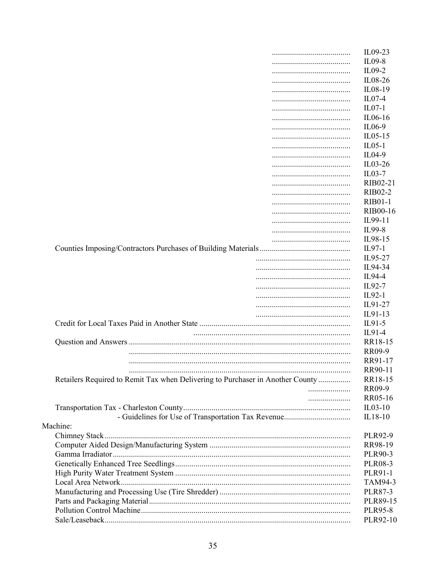|                                                                                | IL09-23         |
|--------------------------------------------------------------------------------|-----------------|
|                                                                                | IL09-8          |
|                                                                                | $IL09-2$        |
|                                                                                | IL08-26         |
|                                                                                | IL08-19         |
|                                                                                | $IL07-4$        |
|                                                                                | $IL07-1$        |
|                                                                                | $IL06-16$       |
|                                                                                | IL06-9          |
|                                                                                | $IL05-15$       |
|                                                                                | $IL05-1$        |
|                                                                                | IL04-9          |
|                                                                                | $IL03-26$       |
|                                                                                | $IL03-7$        |
|                                                                                | RIB02-21        |
|                                                                                | <b>RIB02-2</b>  |
|                                                                                | <b>RIB01-1</b>  |
|                                                                                | <b>RIB00-16</b> |
|                                                                                | IL99-11         |
|                                                                                |                 |
|                                                                                | IL99-8          |
|                                                                                | IL98-15         |
|                                                                                | $IL97-1$        |
|                                                                                | IL95-27         |
|                                                                                | IL94-34         |
|                                                                                | IL94-4          |
|                                                                                | IL92-7          |
|                                                                                | $IL92-1$        |
|                                                                                | IL91-27         |
|                                                                                | IL91-13         |
|                                                                                | $IL91-5$        |
|                                                                                | IL91-4          |
|                                                                                | RR18-15         |
|                                                                                | <b>RR09-9</b>   |
|                                                                                | RR91-17         |
|                                                                                | RR90-11         |
| Retailers Required to Remit Tax when Delivering to Purchaser in Another County | RR18-15         |
|                                                                                | RR09-9          |
|                                                                                | RR05-16         |
|                                                                                | $IL03-10$       |
|                                                                                | IL18-10         |
| Machine:                                                                       |                 |
|                                                                                | PLR92-9         |
|                                                                                | RR98-19         |
|                                                                                | PLR90-3         |
|                                                                                | <b>PLR08-3</b>  |
|                                                                                | PLR91-1         |
|                                                                                | TAM94-3         |
|                                                                                | PLR87-3         |
|                                                                                | PLR89-15        |
|                                                                                | <b>PLR95-8</b>  |
|                                                                                | PLR92-10        |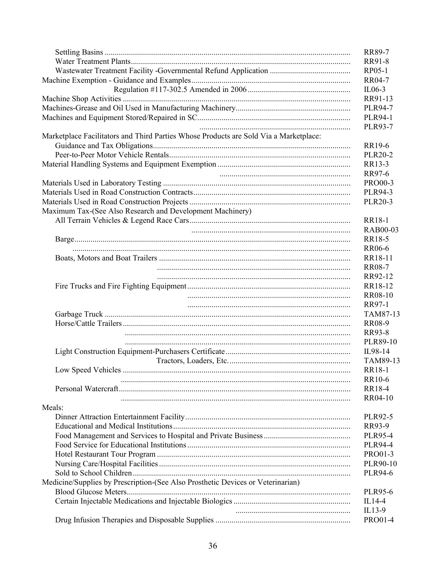|                                                                                       | RR89-7<br><b>RR91-8</b>  |
|---------------------------------------------------------------------------------------|--------------------------|
|                                                                                       | RP05-1                   |
|                                                                                       | RR04-7                   |
|                                                                                       | $IL06-3$                 |
|                                                                                       | RR91-13                  |
|                                                                                       | <b>PLR94-7</b>           |
|                                                                                       |                          |
|                                                                                       | <b>PLR94-1</b>           |
| Marketplace Facilitators and Third Parties Whose Products are Sold Via a Marketplace: | <b>PLR93-7</b><br>RR19-6 |
|                                                                                       | <b>PLR20-2</b>           |
|                                                                                       | RR13-3                   |
|                                                                                       | RR97-6                   |
|                                                                                       | <b>PRO00-3</b>           |
|                                                                                       | <b>PLR94-3</b>           |
|                                                                                       | <b>PLR20-3</b>           |
| Maximum Tax-(See Also Research and Development Machinery)                             |                          |
|                                                                                       | RR18-1                   |
|                                                                                       | <b>RAB00-03</b>          |
|                                                                                       | RR18-5                   |
|                                                                                       | RR06-6                   |
|                                                                                       | RR18-11                  |
|                                                                                       | <b>RR08-7</b>            |
|                                                                                       | RR92-12                  |
|                                                                                       | RR18-12                  |
|                                                                                       | <b>RR08-10</b>           |
|                                                                                       | RR97-1                   |
|                                                                                       |                          |
|                                                                                       | TAM87-13                 |
|                                                                                       | <b>RR08-9</b>            |
|                                                                                       | RR93-8                   |
|                                                                                       | PLR89-10                 |
|                                                                                       | IL98-14                  |
|                                                                                       | TAM89-13                 |
|                                                                                       | RR18-1                   |
|                                                                                       | RR10-6                   |
|                                                                                       | <b>RR18-4</b>            |
|                                                                                       | RR04-10                  |
| Meals:                                                                                |                          |
|                                                                                       | PLR92-5                  |
|                                                                                       | RR93-9                   |
|                                                                                       | <b>PLR95-4</b>           |
|                                                                                       | <b>PLR94-4</b>           |
|                                                                                       | PRO01-3                  |
|                                                                                       | PLR90-10                 |
|                                                                                       | <b>PLR94-6</b>           |
| Medicine/Supplies by Prescription-(See Also Prosthetic Devices or Veterinarian)       |                          |
|                                                                                       | <b>PLR95-6</b>           |
|                                                                                       | $IL14-4$                 |
|                                                                                       | $IL13-9$                 |
|                                                                                       | PRO01-4                  |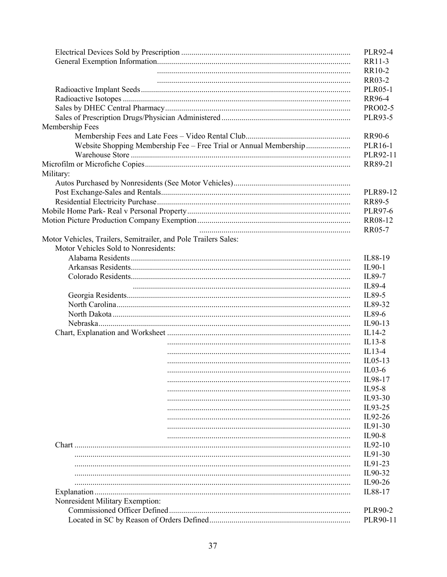|                                                                   | <b>PLR92-4</b> |
|-------------------------------------------------------------------|----------------|
|                                                                   | RR11-3         |
|                                                                   | RR10-2         |
|                                                                   | <b>RR03-2</b>  |
|                                                                   | <b>PLR05-1</b> |
|                                                                   | RR96-4         |
|                                                                   | PRO02-5        |
|                                                                   | PLR93-5        |
| Membership Fees                                                   |                |
|                                                                   | RR90-6         |
| Website Shopping Membership Fee – Free Trial or Annual Membership | PLR16-1        |
|                                                                   | PLR92-11       |
|                                                                   | RR89-21        |
| Military:                                                         |                |
|                                                                   |                |
|                                                                   | PLR89-12       |
|                                                                   | RR89-5         |
|                                                                   | <b>PLR97-6</b> |
|                                                                   | RR08-12        |
|                                                                   | <b>RR05-7</b>  |
| Motor Vehicles, Trailers, Semitrailer, and Pole Trailers Sales:   |                |
| Motor Vehicles Sold to Nonresidents:                              |                |
|                                                                   | IL88-19        |
|                                                                   | IL90-1         |
|                                                                   | IL89-7         |
|                                                                   | IL89-4         |
|                                                                   |                |
|                                                                   | IL89-5         |
|                                                                   | IL89-32        |
|                                                                   | IL89-6         |
|                                                                   | IL90-13        |
|                                                                   | IL14-2         |
|                                                                   | $IL13-8$       |
|                                                                   | $IL13-4$       |
|                                                                   | $IL05-13$      |
|                                                                   | $IL03-6$       |
|                                                                   | IL98-17        |
|                                                                   | IL95-8         |
|                                                                   | IL93-30        |
|                                                                   | IL93-25        |
|                                                                   | IL92-26        |
|                                                                   | IL91-30        |
|                                                                   | IL90-8         |
|                                                                   | IL92-10        |
|                                                                   | IL91-30        |
|                                                                   | IL91-23        |
|                                                                   | IL90-32        |
|                                                                   | IL90-26        |
|                                                                   | IL88-17        |
| Nonresident Military Exemption:                                   |                |
|                                                                   | PLR90-2        |
|                                                                   | PLR90-11       |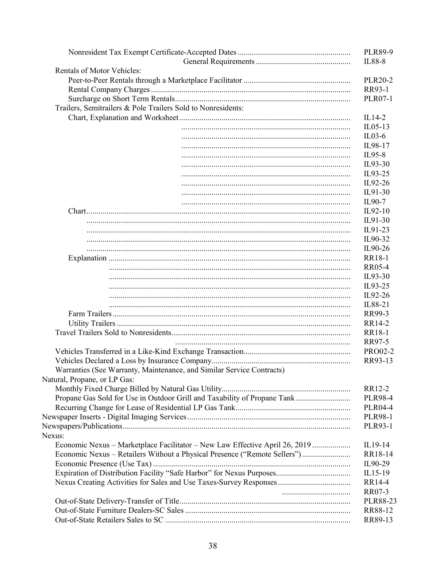|                                                                             | <b>PLR89-9</b><br>IL88-8 |
|-----------------------------------------------------------------------------|--------------------------|
| <b>Rentals of Motor Vehicles:</b>                                           |                          |
|                                                                             | <b>PLR20-2</b>           |
|                                                                             | RR93-1                   |
|                                                                             | <b>PLR07-1</b>           |
| Trailers, Semitrailers & Pole Trailers Sold to Nonresidents:                |                          |
|                                                                             | $IL14-2$                 |
|                                                                             | $IL05-13$                |
|                                                                             | $IL03-6$                 |
|                                                                             | IL98-17                  |
|                                                                             | IL95-8                   |
|                                                                             | IL93-30                  |
|                                                                             | IL93-25                  |
|                                                                             | IL92-26                  |
|                                                                             | IL91-30                  |
|                                                                             | IL90-7                   |
|                                                                             | $IL92-10$                |
|                                                                             | IL91-30                  |
|                                                                             | IL91-23                  |
|                                                                             | IL90-32                  |
|                                                                             | IL90-26                  |
|                                                                             | RR18-1                   |
|                                                                             | <b>RR05-4</b>            |
|                                                                             | IL93-30                  |
|                                                                             | IL93-25                  |
|                                                                             | IL92-26                  |
|                                                                             | IL88-21                  |
|                                                                             |                          |
|                                                                             | RR99-3<br>RR14-2         |
|                                                                             |                          |
|                                                                             | RR18-1<br>RR97-5         |
|                                                                             |                          |
|                                                                             | <b>PRO02-2</b>           |
|                                                                             | RR93-13                  |
| Warranties (See Warranty, Maintenance, and Similar Service Contracts)       |                          |
| Natural, Propane, or LP Gas:                                                |                          |
|                                                                             | RR12-2                   |
| Propane Gas Sold for Use in Outdoor Grill and Taxability of Propane Tank    | <b>PLR98-4</b>           |
|                                                                             | <b>PLR04-4</b>           |
|                                                                             | <b>PLR98-1</b>           |
|                                                                             | <b>PLR93-1</b>           |
| Nexus:                                                                      |                          |
| Economic Nexus – Marketplace Facilitator – New Law Effective April 26, 2019 | IL19-14                  |
| Economic Nexus – Retailers Without a Physical Presence ("Remote Sellers")   | RR18-14                  |
|                                                                             | IL90-29                  |
|                                                                             | IL15-19                  |
|                                                                             | RR14-4                   |
|                                                                             | RR07-3                   |
|                                                                             | PLR88-23                 |
|                                                                             | RR88-12                  |
|                                                                             | RR89-13                  |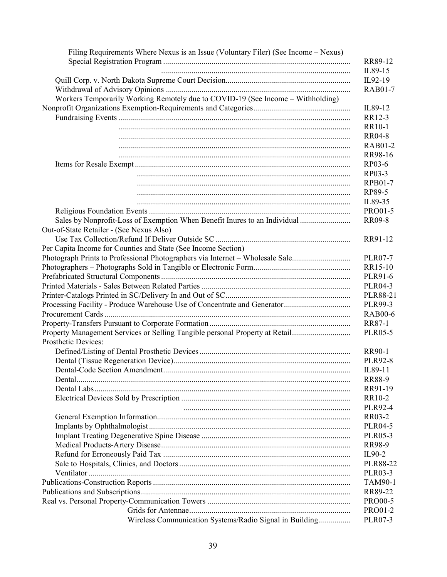| Filing Requirements Where Nexus is an Issue (Voluntary Filer) (See Income – Nexus) |                 |
|------------------------------------------------------------------------------------|-----------------|
|                                                                                    | RR89-12         |
|                                                                                    | IL89-15         |
|                                                                                    | IL92-19         |
|                                                                                    | <b>RAB01-7</b>  |
| Workers Temporarily Working Remotely due to COVID-19 (See Income - Withholding)    |                 |
|                                                                                    | IL89-12         |
|                                                                                    | RR12-3          |
|                                                                                    | <b>RR10-1</b>   |
|                                                                                    | <b>RR04-8</b>   |
|                                                                                    | <b>RAB01-2</b>  |
|                                                                                    | RR98-16         |
|                                                                                    | RP03-6          |
|                                                                                    | RP03-3          |
|                                                                                    | <b>RPB01-7</b>  |
|                                                                                    | RP89-5          |
|                                                                                    | IL89-35         |
|                                                                                    | PRO01-5         |
| Sales by Nonprofit-Loss of Exemption When Benefit Inures to an Individual          | <b>RR09-8</b>   |
| Out-of-State Retailer - (See Nexus Also)                                           |                 |
|                                                                                    | RR91-12         |
| Per Capita Income for Counties and State (See Income Section)                      |                 |
| Photograph Prints to Professional Photographers via Internet - Wholesale Sale      | <b>PLR07-7</b>  |
|                                                                                    | RR15-10         |
|                                                                                    | PLR91-6         |
|                                                                                    | PLR04-3         |
|                                                                                    | PLR88-21        |
|                                                                                    | PLR99-3         |
|                                                                                    | <b>RAB00-6</b>  |
|                                                                                    | RR87-1          |
| Property Management Services or Selling Tangible personal Property at Retail       | <b>PLR05-5</b>  |
| Prosthetic Devices:                                                                |                 |
|                                                                                    | RR90-1          |
|                                                                                    | <b>PLR92-8</b>  |
|                                                                                    | IL89-11         |
|                                                                                    | <b>RR88-9</b>   |
|                                                                                    | RR91-19         |
|                                                                                    | RR10-2          |
|                                                                                    | <b>PLR92-4</b>  |
|                                                                                    | RR03-2          |
|                                                                                    | <b>PLR04-5</b>  |
|                                                                                    | <b>PLR05-3</b>  |
|                                                                                    | RR98-9          |
|                                                                                    | IL90-2          |
|                                                                                    | <b>PLR88-22</b> |
|                                                                                    | PLR03-3         |
|                                                                                    | <b>TAM90-1</b>  |
|                                                                                    | RR89-22         |
|                                                                                    | <b>PRO00-5</b>  |
|                                                                                    | PRO01-2         |
| Wireless Communication Systems/Radio Signal in Building                            | <b>PLR07-3</b>  |
|                                                                                    |                 |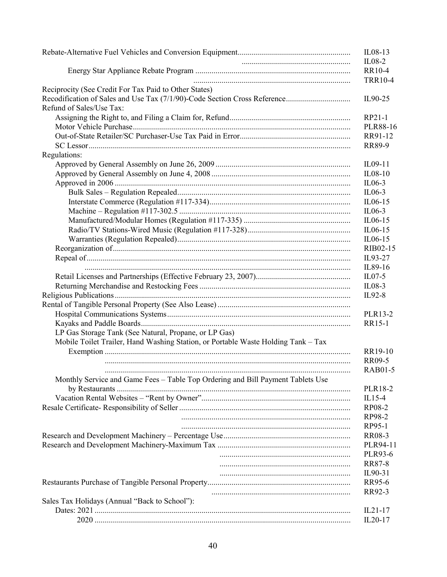|                                                                                   | $IL08-13$<br>$IL08-2$    |
|-----------------------------------------------------------------------------------|--------------------------|
|                                                                                   | RR10-4<br><b>TRR10-4</b> |
| Reciprocity (See Credit For Tax Paid to Other States)                             |                          |
| Refund of Sales/Use Tax:                                                          | IL90-25                  |
|                                                                                   | RP21-1                   |
|                                                                                   | <b>PLR88-16</b>          |
|                                                                                   | RR91-12                  |
|                                                                                   | RR89-9                   |
| Regulations:                                                                      |                          |
|                                                                                   | IL09-11                  |
|                                                                                   | $IL08-10$                |
|                                                                                   | $IL06-3$                 |
|                                                                                   | $IL06-3$                 |
|                                                                                   | IL06-15                  |
|                                                                                   | $IL06-3$                 |
|                                                                                   | IL06-15                  |
|                                                                                   | IL06-15                  |
|                                                                                   | $IL06-15$                |
|                                                                                   | RIB02-15                 |
|                                                                                   | IL93-27                  |
|                                                                                   | IL89-16                  |
|                                                                                   | $ILO7-5$                 |
|                                                                                   | $IL08-3$                 |
|                                                                                   | IL92-8                   |
|                                                                                   |                          |
|                                                                                   | PLR13-2                  |
|                                                                                   | <b>RR15-1</b>            |
| LP Gas Storage Tank (See Natural, Propane, or LP Gas)                             |                          |
| Mobile Toilet Trailer, Hand Washing Station, or Portable Waste Holding Tank - Tax |                          |
|                                                                                   | RR19-10                  |
|                                                                                   | <b>RR09-5</b>            |
|                                                                                   | <b>RAB01-5</b>           |
| Monthly Service and Game Fees - Table Top Ordering and Bill Payment Tablets Use   |                          |
|                                                                                   | PLR18-2                  |
|                                                                                   | $IL15-4$                 |
|                                                                                   | RP08-2                   |
|                                                                                   | RP98-2                   |
|                                                                                   | RP95-1                   |
|                                                                                   | RR08-3                   |
|                                                                                   | PLR94-11                 |
|                                                                                   | PLR93-6                  |
|                                                                                   | <b>RR87-8</b>            |
|                                                                                   | IL90-31                  |
|                                                                                   | RR95-6                   |
|                                                                                   | RR92-3                   |
| Sales Tax Holidays (Annual "Back to School"):                                     |                          |
|                                                                                   | $IL21-17$                |
|                                                                                   | $IL20-17$                |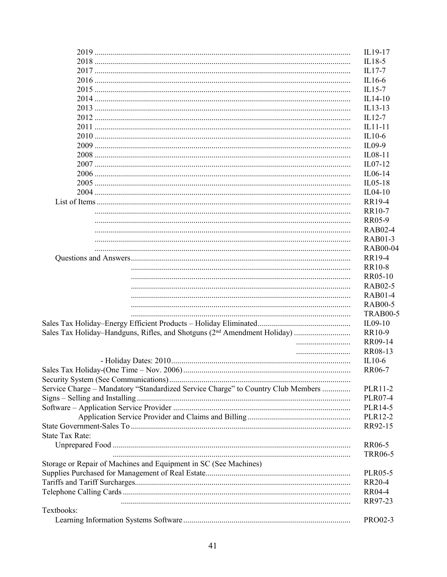|                                                                                  | IL19-17         |
|----------------------------------------------------------------------------------|-----------------|
|                                                                                  | $IL18-5$        |
|                                                                                  | IL17-7          |
|                                                                                  | IL16-6          |
|                                                                                  | $IL15-7$        |
|                                                                                  | $IL14-10$       |
|                                                                                  | IL13-13         |
|                                                                                  | $IL12-7$        |
|                                                                                  | $IL11-11$       |
|                                                                                  | $IL10-6$        |
|                                                                                  | $IL09-9$        |
|                                                                                  | IL08-11         |
|                                                                                  | IL07-12         |
|                                                                                  | IL06-14         |
|                                                                                  | $IL05-18$       |
|                                                                                  | $IL04-10$       |
|                                                                                  | <b>RR19-4</b>   |
|                                                                                  | RR10-7          |
|                                                                                  | RR05-9          |
|                                                                                  | <b>RAB02-4</b>  |
|                                                                                  | RAB01-3         |
|                                                                                  | <b>RAB00-04</b> |
|                                                                                  | <b>RR19-4</b>   |
|                                                                                  | <b>RR10-8</b>   |
|                                                                                  | RR05-10         |
|                                                                                  | <b>RAB02-5</b>  |
|                                                                                  | <b>RAB01-4</b>  |
|                                                                                  | <b>RAB00-5</b>  |
|                                                                                  | <b>TRAB00-5</b> |
|                                                                                  | IL09-10         |
|                                                                                  | RR10-9          |
|                                                                                  | RR09-14         |
|                                                                                  |                 |
|                                                                                  | RR08-13         |
|                                                                                  | $IL10-6$        |
|                                                                                  | RR06-7          |
|                                                                                  |                 |
| Service Charge - Mandatory "Standardized Service Charge" to Country Club Members | PLR11-2         |
|                                                                                  | <b>PLR07-4</b>  |
|                                                                                  | PLR14-5         |
|                                                                                  | PLR12-2         |
|                                                                                  | RR92-15         |
| <b>State Tax Rate:</b>                                                           |                 |
|                                                                                  | <b>RR06-5</b>   |
|                                                                                  | <b>TRR06-5</b>  |
| Storage or Repair of Machines and Equipment in SC (See Machines)                 |                 |
|                                                                                  | <b>PLR05-5</b>  |
|                                                                                  | RR20-4          |
|                                                                                  | <b>RR04-4</b>   |
|                                                                                  | RR97-23         |
| Textbooks:                                                                       |                 |
|                                                                                  | PRO02-3         |